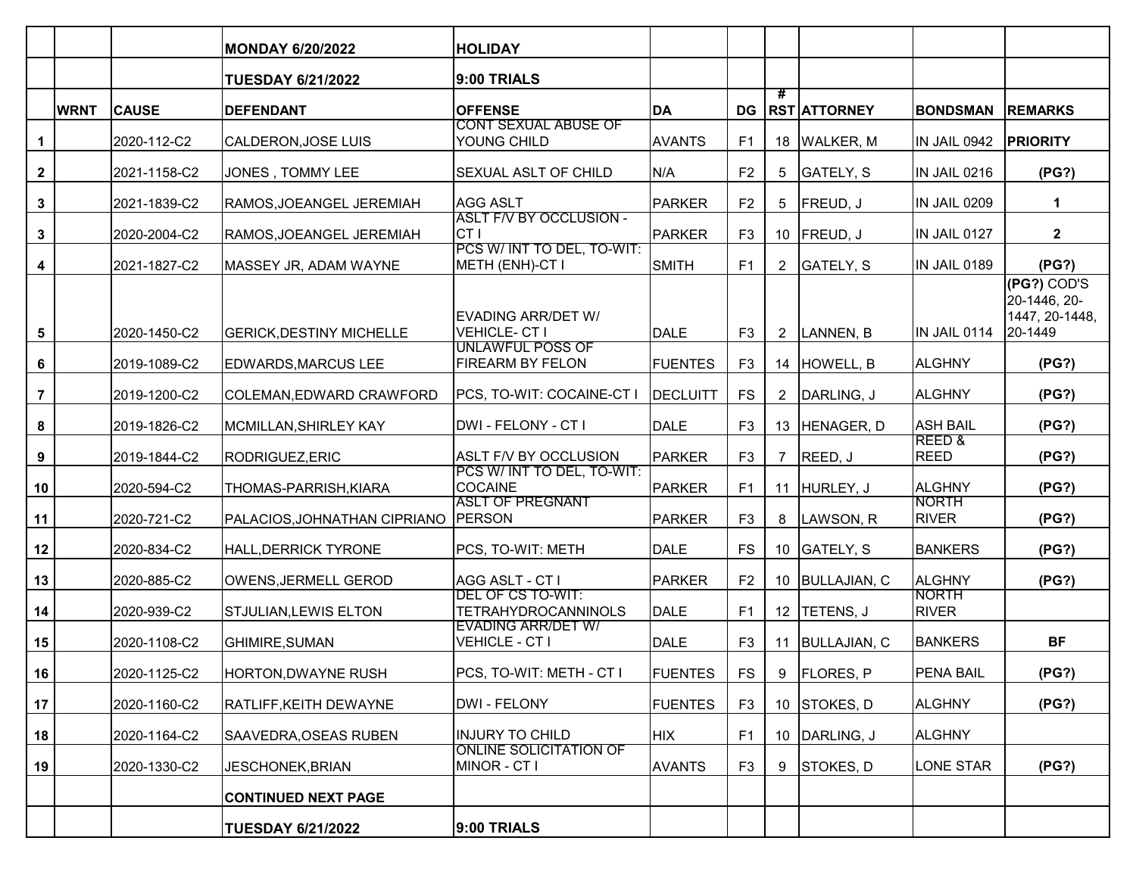|                         |             |              | <b>MONDAY 6/20/2022</b>         | <b>HOLIDAY</b>                                          |                 |                |                 |                     |                              |                                                          |
|-------------------------|-------------|--------------|---------------------------------|---------------------------------------------------------|-----------------|----------------|-----------------|---------------------|------------------------------|----------------------------------------------------------|
|                         |             |              | <b>TUESDAY 6/21/2022</b>        | 9:00 TRIALS                                             |                 |                |                 |                     |                              |                                                          |
|                         | <b>WRNT</b> | <b>CAUSE</b> | <b>DEFENDANT</b>                | <b>OFFENSE</b>                                          | DA              | <b>DG</b>      | #               | <b>RST ATTORNEY</b> | <b>BONDSMAN</b>              | <b>REMARKS</b>                                           |
| $\mathbf{1}$            |             | 2020-112-C2  | CALDERON, JOSE LUIS             | <b>CONT SEXUAL ABUSE OF</b><br>YOUNG CHILD              | <b>AVANTS</b>   | F <sub>1</sub> |                 | 18 WALKER, M        | IN JAIL 0942                 | <b>PRIORITY</b>                                          |
| $\overline{\mathbf{2}}$ |             | 2021-1158-C2 | JONES, TOMMY LEE                | SEXUAL ASLT OF CHILD                                    | N/A             | F <sub>2</sub> | 5               | GATELY, S           | IN JAIL 0216                 | (PG?)                                                    |
| $\mathbf{3}$            |             | 2021-1839-C2 | RAMOS, JOEANGEL JEREMIAH        | <b>AGG ASLT</b>                                         | PARKER          | F <sub>2</sub> | 5               | FREUD, J            | IN JAIL 0209                 | 1                                                        |
| $\mathbf{3}$            |             | 2020-2004-C2 | RAMOS, JOEANGEL JEREMIAH        | <b>ASLT F/V BY OCCLUSION -</b><br>CT I                  | <b>PARKER</b>   | F <sub>3</sub> |                 | 10 $ $ FREUD, J     | IN JAIL 0127                 | $\overline{\mathbf{2}}$                                  |
| 4                       |             | 2021-1827-C2 | MASSEY JR, ADAM WAYNE           | PCS W/ INT TO DEL, TO-WIT:<br><b>METH (ENH)-CT I</b>    | SMITH           | F <sub>1</sub> | $\overline{2}$  | GATELY, S           | IN JAIL 0189                 | (PG?)                                                    |
| 5                       |             | 2020-1450-C2 | <b>GERICK, DESTINY MICHELLE</b> | EVADING ARR/DET W/<br><b>VEHICLE-CTI</b>                | DALE            | F <sub>3</sub> | $2^{\circ}$     | LANNEN, B           | IN JAIL 0114                 | (PG?) COD'S<br>20-1446, 20-<br>1447, 20-1448,<br>20-1449 |
| 6                       |             | 2019-1089-C2 | <b>EDWARDS, MARCUS LEE</b>      | <b>UNLAWFUL POSS OF</b><br>FIREARM BY FELON             | <b>FUENTES</b>  | F <sub>3</sub> |                 | 14 HOWELL, B        | ALGHNY                       | (PG?)                                                    |
| $\overline{7}$          |             | 2019-1200-C2 | COLEMAN, EDWARD CRAWFORD        | PCS, TO-WIT: COCAINE-CT I                               | <b>DECLUITT</b> | <b>FS</b>      | $\overline{2}$  | DARLING, J          | ALGHNY                       | (PG?)                                                    |
| 8                       |             | 2019-1826-C2 | MCMILLAN, SHIRLEY KAY           | DWI - FELONY - CT I                                     | DALE            | F <sub>3</sub> |                 | 13 HENAGER, D       | <b>ASH BAIL</b>              | (PG?)                                                    |
| 9                       |             | 2019-1844-C2 | RODRIGUEZ, ERIC                 | ASLT F/V BY OCCLUSION                                   | PARKER          | F <sub>3</sub> | $\overline{7}$  | REED, J             | REED &<br><b>REED</b>        | (PG?)                                                    |
| 10                      |             | 2020-594-C2  | THOMAS-PARRISH, KIARA           | PCS W/ INT TO DEL, TO-WIT:<br>COCAINE                   | PARKER          | F <sub>1</sub> |                 | 11 HURLEY, J        | <b>ALGHNY</b>                | (PG?)                                                    |
| 11                      |             | 2020-721-C2  | PALACIOS, JOHNATHAN CIPRIANO    | <b>ASLT OF PREGNANT</b><br><b>PERSON</b>                | PARKER          | F <sub>3</sub> | 8               | LAWSON, R           | <b>NORTH</b><br><b>RIVER</b> | (PG?)                                                    |
| 12                      |             | 2020-834-C2  | HALL, DERRICK TYRONE            | PCS, TO-WIT: METH                                       | DALE            | <b>FS</b>      |                 | 10 GATELY, S        | <b>BANKERS</b>               | (PG?)                                                    |
| 13                      |             | 2020-885-C2  | OWENS, JERMELL GEROD            | AGG ASLT - CT I<br>DEL OF CS TO-WIT:                    | PARKER          | F <sub>2</sub> |                 | 10 BULLAJIAN, C     | ALGHNY<br><b>NORTH</b>       | (PG?)                                                    |
| 14                      |             | 2020-939-C2  | STJULIAN, LEWIS ELTON           | <b>TETRAHYDROCANNINOLS</b><br><b>EVADING ARR/DET W/</b> | DALE            | F <sub>1</sub> | 12 <sup>2</sup> | TETENS, J           | <b>RIVER</b>                 |                                                          |
| 15                      |             | 2020-1108-C2 | <b>GHIMIRE, SUMAN</b>           | VEHICLE - CT I                                          | DALE            | F <sub>3</sub> | 11              | <b>BULLAJIAN, C</b> | <b>BANKERS</b>               | <b>BF</b>                                                |
| 16                      |             | 2020-1125-C2 | HORTON,DWAYNE RUSH              | PCS, TO-WIT: METH - CT I                                | <b>FUENTES</b>  | FS             | 9               | <b>FLORES, P</b>    | PENA BAIL                    | (PG?)                                                    |
| 17                      |             | 2020-1160-C2 | RATLIFF, KEITH DEWAYNE          | DWI-FELONY                                              | <b>FUENTES</b>  | F <sub>3</sub> |                 | 10 STOKES, D        | <b>ALGHNY</b>                | (PG?)                                                    |
| 18                      |             | 2020-1164-C2 | SAAVEDRA, OSEAS RUBEN           | <b>INJURY TO CHILD</b>                                  | <b>HIX</b>      | F <sub>1</sub> |                 | 10 DARLING, J       | <b>ALGHNY</b>                |                                                          |
| 19                      |             | 2020-1330-C2 | JESCHONEK, BRIAN                | <b>ONLINE SOLICITATION OF</b><br>MINOR - CT I           | <b>AVANTS</b>   | F <sub>3</sub> | 9               | STOKES, D           | LONE STAR                    | (PG?)                                                    |
|                         |             |              | <b>CONTINUED NEXT PAGE</b>      |                                                         |                 |                |                 |                     |                              |                                                          |
|                         |             |              | <b>TUESDAY 6/21/2022</b>        | 9:00 TRIALS                                             |                 |                |                 |                     |                              |                                                          |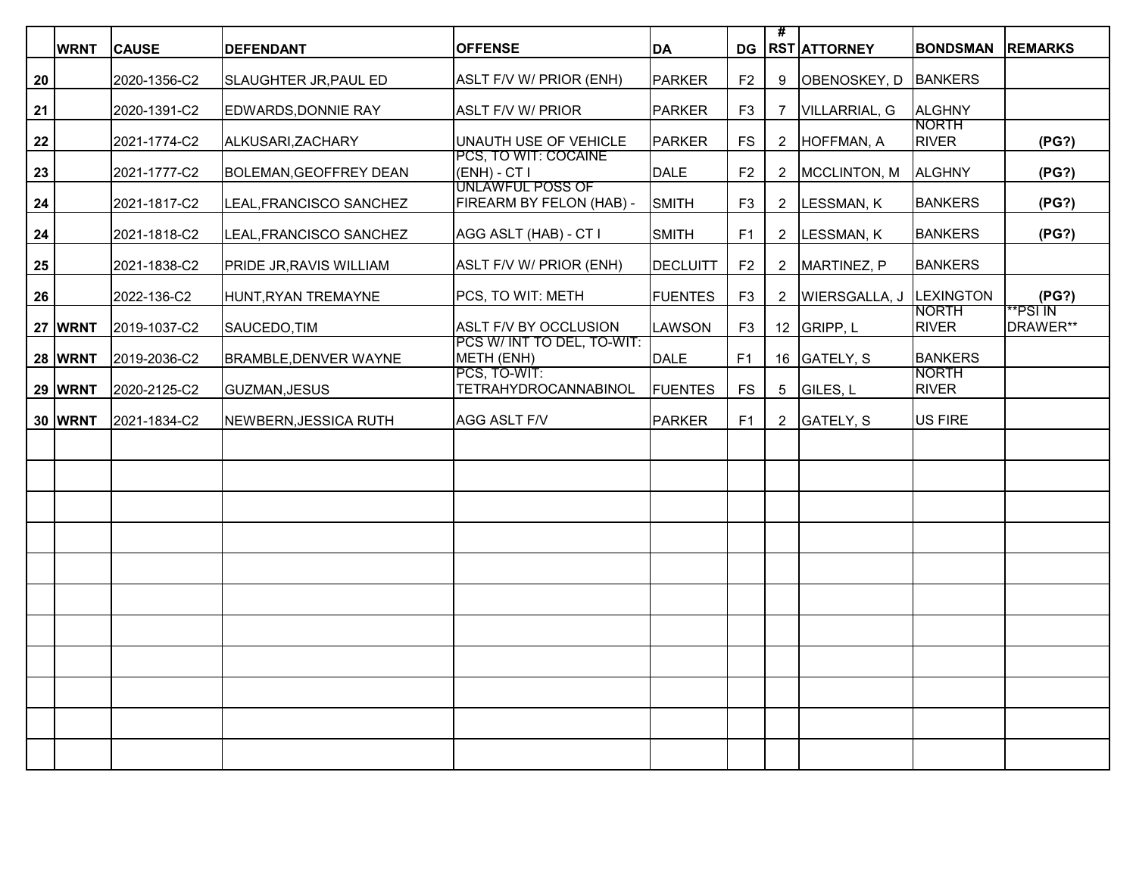|    | <b>WRNT</b>    | <b>CAUSE</b> | <b>DEFENDANT</b>              | <b>OFFENSE</b>                                      | DA              | DG             | #               | <b>RST ATTORNEY</b>     | <b>BONDSMAN</b> | <b>REMARKS</b>      |
|----|----------------|--------------|-------------------------------|-----------------------------------------------------|-----------------|----------------|-----------------|-------------------------|-----------------|---------------------|
|    |                |              |                               |                                                     |                 |                |                 |                         |                 |                     |
| 20 |                | 2020-1356-C2 | SLAUGHTER JR, PAUL ED         | ASLT F/V W/ PRIOR (ENH)                             | <b>PARKER</b>   | F <sub>2</sub> | 9               | OBENOSKEY, D            | <b>BANKERS</b>  |                     |
| 21 |                | 2020-1391-C2 | EDWARDS, DONNIE RAY           | <b>ASLT F/V W/ PRIOR</b>                            | <b>PARKER</b>   | F <sub>3</sub> | 7               | VILLARRIAL, G           | <b>ALGHNY</b>   |                     |
|    |                |              |                               |                                                     |                 |                |                 |                         | NORTH           |                     |
| 22 |                | 2021-1774-C2 | ALKUSARI, ZACHARY             | UNAUTH USE OF VEHICLE<br>PCS, TO WIT: COCAINE       | <b>PARKER</b>   | <b>FS</b>      | $\overline{2}$  | HOFFMAN, A              | <b>RIVER</b>    | (PG?)               |
| 23 |                | 2021-1777-C2 | <b>BOLEMAN, GEOFFREY DEAN</b> | $(ENH) - CTI$                                       | <b>DALE</b>     | F <sub>2</sub> | $\overline{2}$  | MCCLINTON, M            | ALGHNY          | (PG?)               |
|    |                |              |                               | <b>UNLAWFUL POSS OF</b>                             |                 |                |                 |                         |                 |                     |
| 24 |                | 2021-1817-C2 | LEAL, FRANCISCO SANCHEZ       | FIREARM BY FELON (HAB) -                            | SMITH           | F <sub>3</sub> | $\overline{2}$  | LESSMAN, K              | <b>BANKERS</b>  | (PG?)               |
| 24 |                | 2021-1818-C2 | LEAL, FRANCISCO SANCHEZ       | AGG ASLT (HAB) - CT I                               | <b>SMITH</b>    | F1             | $\mathbf{2}$    | LESSMAN, K              | <b>BANKERS</b>  | (PG?)               |
|    |                |              |                               |                                                     |                 |                |                 |                         |                 |                     |
| 25 |                | 2021-1838-C2 | PRIDE JR, RAVIS WILLIAM       | ASLT F/V W/ PRIOR (ENH)                             | <b>DECLUITT</b> | F <sub>2</sub> | $\overline{2}$  | MARTINEZ, P             | <b>BANKERS</b>  |                     |
| 26 |                | 2022-136-C2  | HUNT, RYAN TREMAYNE           | PCS, TO WIT: METH                                   | <b>FUENTES</b>  | F <sub>3</sub> | $\overline{2}$  | WIERSGALLA, J LEXINGTON |                 | (PG?)               |
|    |                |              |                               |                                                     |                 |                |                 |                         | <b>NORTH</b>    | **PSI <sup>IN</sup> |
|    | 27 WRNT        | 2019-1037-C2 | SAUCEDO, TIM                  | ASLT F/V BY OCCLUSION<br>PCS W/ INT TO DEL, TO-WIT: | <b>LAWSON</b>   | F3             |                 | 12 GRIPP, L             | <b>RIVER</b>    | DRAWER**            |
|    | <b>28 WRNT</b> | 2019-2036-C2 | <b>BRAMBLE, DENVER WAYNE</b>  | METH (ENH)                                          | DALE            | F <sub>1</sub> |                 | 16 GATELY, S            | <b>BANKERS</b>  |                     |
|    |                |              |                               | PCS. TO-WIT:                                        |                 |                |                 |                         | <b>NORTH</b>    |                     |
|    | <b>29 WRNT</b> | 2020-2125-C2 | <b>GUZMAN, JESUS</b>          | <b>TETRAHYDROCANNABINOL</b>                         | <b>FUENTES</b>  | <b>FS</b>      | $5\phantom{.0}$ | GILES, L                | <b>RIVER</b>    |                     |
|    | <b>30 WRNT</b> | 2021-1834-C2 | NEWBERN, JESSICA RUTH         | AGG ASLT F/V                                        | <b>PARKER</b>   | F <sub>1</sub> | $\overline{2}$  | GATELY, S               | <b>US FIRE</b>  |                     |
|    |                |              |                               |                                                     |                 |                |                 |                         |                 |                     |
|    |                |              |                               |                                                     |                 |                |                 |                         |                 |                     |
|    |                |              |                               |                                                     |                 |                |                 |                         |                 |                     |
|    |                |              |                               |                                                     |                 |                |                 |                         |                 |                     |
|    |                |              |                               |                                                     |                 |                |                 |                         |                 |                     |
|    |                |              |                               |                                                     |                 |                |                 |                         |                 |                     |
|    |                |              |                               |                                                     |                 |                |                 |                         |                 |                     |
|    |                |              |                               |                                                     |                 |                |                 |                         |                 |                     |
|    |                |              |                               |                                                     |                 |                |                 |                         |                 |                     |
|    |                |              |                               |                                                     |                 |                |                 |                         |                 |                     |
|    |                |              |                               |                                                     |                 |                |                 |                         |                 |                     |
|    |                |              |                               |                                                     |                 |                |                 |                         |                 |                     |
|    |                |              |                               |                                                     |                 |                |                 |                         |                 |                     |
|    |                |              |                               |                                                     |                 |                |                 |                         |                 |                     |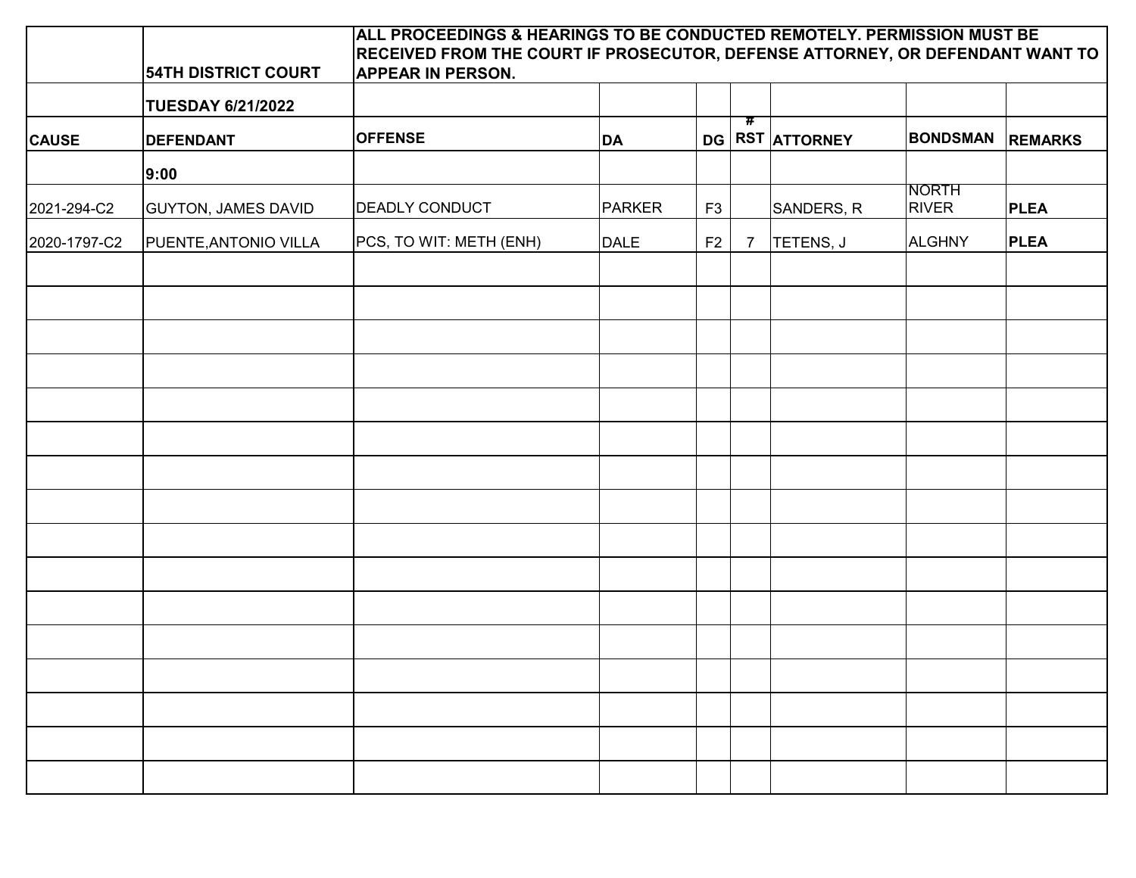|              | <b>54TH DISTRICT COURT</b> | ALL PROCEEDINGS & HEARINGS TO BE CONDUCTED REMOTELY. PERMISSION MUST BE<br>RECEIVED FROM THE COURT IF PROSECUTOR, DEFENSE ATTORNEY, OR DEFENDANT WANT TO<br><b>APPEAR IN PERSON.</b> |             |                |                             |                 |                              |                |
|--------------|----------------------------|--------------------------------------------------------------------------------------------------------------------------------------------------------------------------------------|-------------|----------------|-----------------------------|-----------------|------------------------------|----------------|
|              | <b>TUESDAY 6/21/2022</b>   |                                                                                                                                                                                      |             |                |                             |                 |                              |                |
| <b>CAUSE</b> | <b>DEFENDANT</b>           | <b>OFFENSE</b>                                                                                                                                                                       | <b>DA</b>   |                | $\overline{\boldsymbol{r}}$ | DG RST ATTORNEY | <b>BONDSMAN</b>              | <b>REMARKS</b> |
|              | 9:00                       |                                                                                                                                                                                      |             |                |                             |                 |                              |                |
| 2021-294-C2  | <b>GUYTON, JAMES DAVID</b> | <b>DEADLY CONDUCT</b>                                                                                                                                                                | PARKER      | F <sub>3</sub> |                             | SANDERS, R      | <b>NORTH</b><br><b>RIVER</b> | <b>PLEA</b>    |
| 2020-1797-C2 | PUENTE, ANTONIO VILLA      | PCS, TO WIT: METH (ENH)                                                                                                                                                              | <b>DALE</b> | F2             | $\overline{7}$              | TETENS, J       | <b>ALGHNY</b>                | <b>PLEA</b>    |
|              |                            |                                                                                                                                                                                      |             |                |                             |                 |                              |                |
|              |                            |                                                                                                                                                                                      |             |                |                             |                 |                              |                |
|              |                            |                                                                                                                                                                                      |             |                |                             |                 |                              |                |
|              |                            |                                                                                                                                                                                      |             |                |                             |                 |                              |                |
|              |                            |                                                                                                                                                                                      |             |                |                             |                 |                              |                |
|              |                            |                                                                                                                                                                                      |             |                |                             |                 |                              |                |
|              |                            |                                                                                                                                                                                      |             |                |                             |                 |                              |                |
|              |                            |                                                                                                                                                                                      |             |                |                             |                 |                              |                |
|              |                            |                                                                                                                                                                                      |             |                |                             |                 |                              |                |
|              |                            |                                                                                                                                                                                      |             |                |                             |                 |                              |                |
|              |                            |                                                                                                                                                                                      |             |                |                             |                 |                              |                |
|              |                            |                                                                                                                                                                                      |             |                |                             |                 |                              |                |
|              |                            |                                                                                                                                                                                      |             |                |                             |                 |                              |                |
|              |                            |                                                                                                                                                                                      |             |                |                             |                 |                              |                |
|              |                            |                                                                                                                                                                                      |             |                |                             |                 |                              |                |
|              |                            |                                                                                                                                                                                      |             |                |                             |                 |                              |                |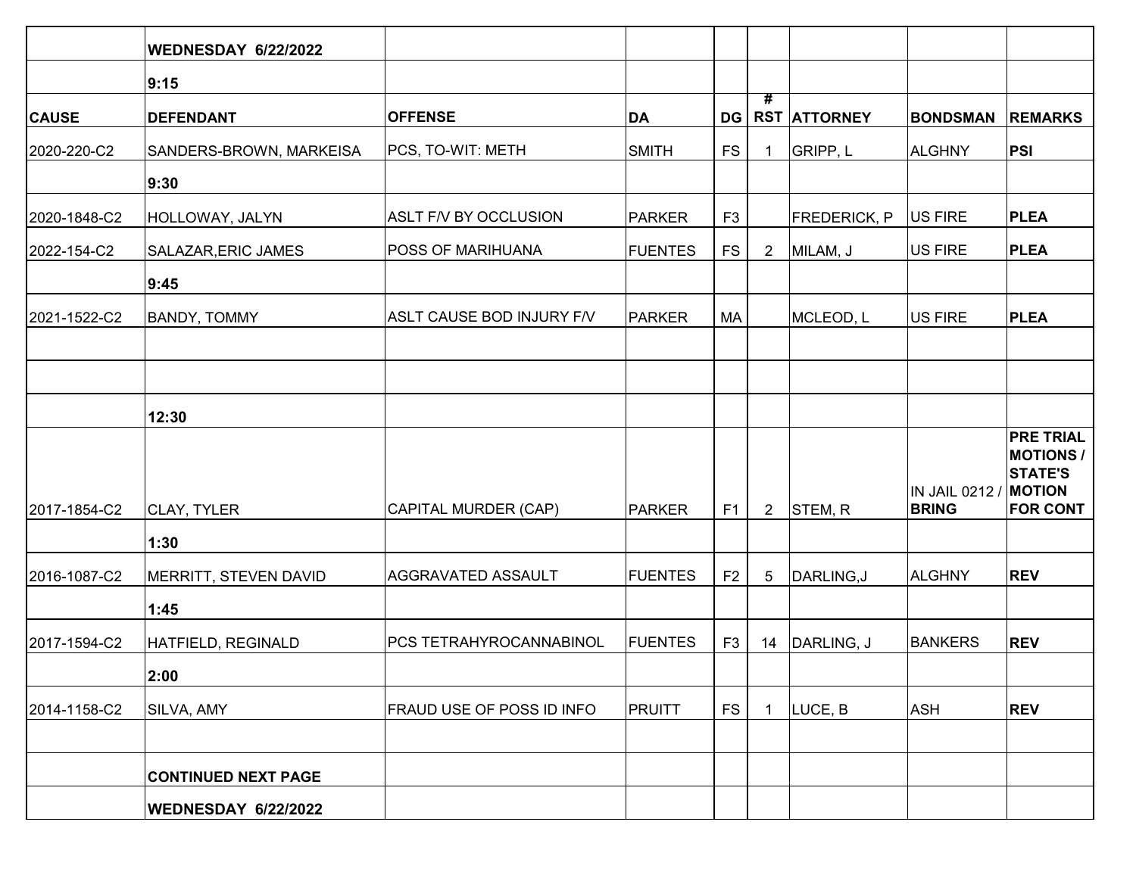|              | <b>WEDNESDAY 6/22/2022</b> |                           |                |                |                             |                     |                 |                                     |
|--------------|----------------------------|---------------------------|----------------|----------------|-----------------------------|---------------------|-----------------|-------------------------------------|
|              | 9:15                       |                           |                |                |                             |                     |                 |                                     |
| <b>CAUSE</b> | <b>DEFENDANT</b>           | <b>OFFENSE</b>            | DA             | <b>DG</b>      | $\overline{\boldsymbol{t}}$ | <b>RST ATTORNEY</b> | <b>BONDSMAN</b> | <b>REMARKS</b>                      |
| 2020-220-C2  | SANDERS-BROWN, MARKEISA    | PCS, TO-WIT: METH         | <b>SMITH</b>   | <b>FS</b>      | 1                           | GRIPP, L            | <b>ALGHNY</b>   | <b>PSI</b>                          |
|              | 9:30                       |                           |                |                |                             |                     |                 |                                     |
| 2020-1848-C2 | HOLLOWAY, JALYN            | ASLT F/V BY OCCLUSION     | PARKER         | F <sub>3</sub> |                             | <b>FREDERICK, P</b> | <b>US FIRE</b>  | <b>PLEA</b>                         |
| 2022-154-C2  | SALAZAR, ERIC JAMES        | <b>POSS OF MARIHUANA</b>  | <b>FUENTES</b> | <b>FS</b>      | $\overline{2}$              | MILAM, J            | <b>US FIRE</b>  | <b>PLEA</b>                         |
|              | 9:45                       |                           |                |                |                             |                     |                 |                                     |
| 2021-1522-C2 | <b>BANDY, TOMMY</b>        | ASLT CAUSE BOD INJURY F/V | PARKER         | MA             |                             | MCLEOD, L           | <b>US FIRE</b>  | <b>PLEA</b>                         |
|              |                            |                           |                |                |                             |                     |                 |                                     |
|              |                            |                           |                |                |                             |                     |                 |                                     |
|              | 12:30                      |                           |                |                |                             |                     |                 |                                     |
|              |                            |                           |                |                |                             |                     |                 | <b>PRE TRIAL</b><br><b>MOTIONS/</b> |
|              |                            |                           |                |                |                             |                     | IN JAIL 0212 /  | <b>STATE'S</b><br><b>MOTION</b>     |
| 2017-1854-C2 | CLAY, TYLER                | CAPITAL MURDER (CAP)      | PARKER         | F <sub>1</sub> | $2^{\circ}$                 | STEM, R             | <b>BRING</b>    | <b>FOR CONT</b>                     |
|              | 1:30                       |                           |                |                |                             |                     |                 |                                     |
| 2016-1087-C2 | MERRITT, STEVEN DAVID      | AGGRAVATED ASSAULT        | <b>FUENTES</b> | F <sub>2</sub> | 5                           | DARLING, J          | <b>ALGHNY</b>   | <b>REV</b>                          |
|              | 1:45                       |                           |                |                |                             |                     |                 |                                     |
| 2017-1594-C2 | HATFIELD, REGINALD         | PCS TETRAHYROCANNABINOL   | <b>FUENTES</b> | F <sub>3</sub> |                             | 14   DARLING, J     | <b>BANKERS</b>  | <b>REV</b>                          |
|              | 2:00                       |                           |                |                |                             |                     |                 |                                     |
| 2014-1158-C2 | SILVA, AMY                 | FRAUD USE OF POSS ID INFO | PRUITT         | <b>FS</b>      | 1                           | LUCE, B             | <b>ASH</b>      | <b>REV</b>                          |
|              |                            |                           |                |                |                             |                     |                 |                                     |
|              | <b>CONTINUED NEXT PAGE</b> |                           |                |                |                             |                     |                 |                                     |
|              | <b>WEDNESDAY 6/22/2022</b> |                           |                |                |                             |                     |                 |                                     |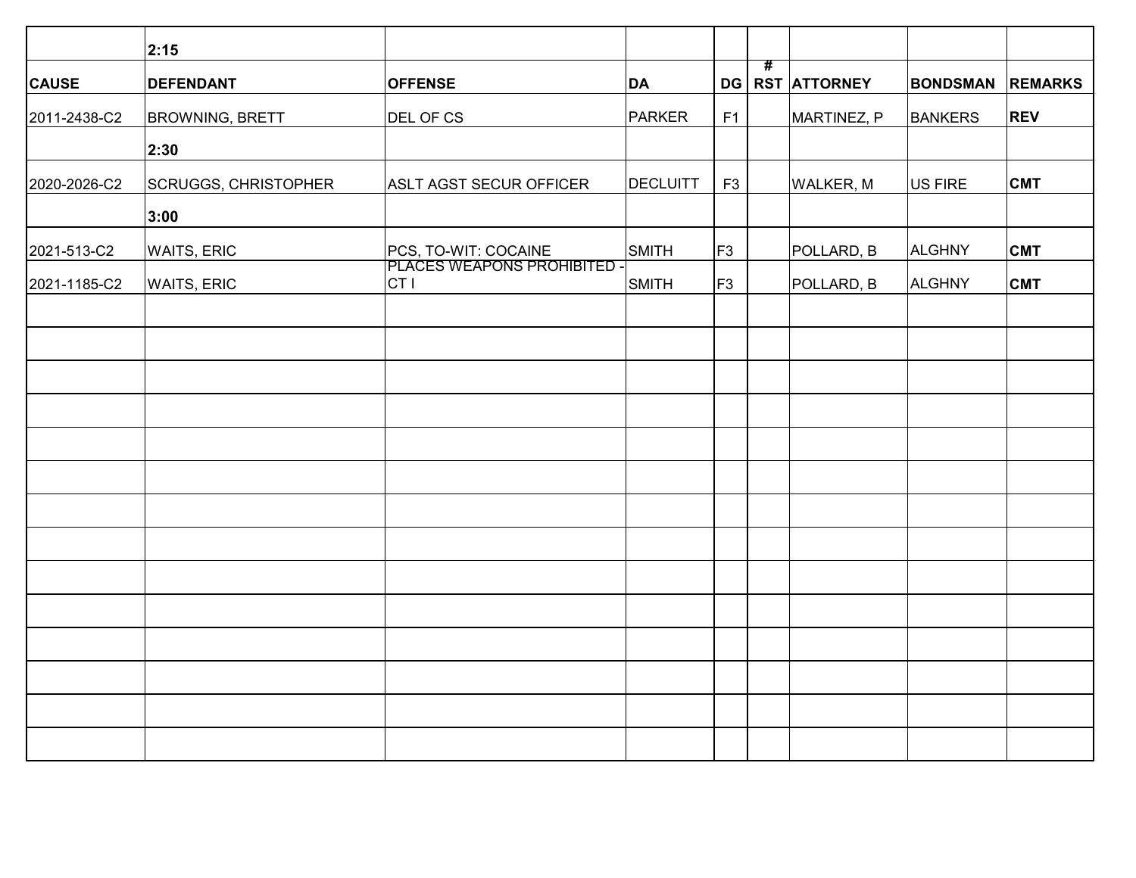|              | 2:15                        |                                                |                 |                |                     |                 |                |
|--------------|-----------------------------|------------------------------------------------|-----------------|----------------|---------------------|-----------------|----------------|
| <b>CAUSE</b> | <b>DEFENDANT</b>            | <b>OFFENSE</b>                                 | DA              | #<br>DG        | <b>RST ATTORNEY</b> | <b>BONDSMAN</b> | <b>REMARKS</b> |
| 2011-2438-C2 | <b>BROWNING, BRETT</b>      | DEL OF CS                                      | PARKER          | F1             | MARTINEZ, P         | <b>BANKERS</b>  | <b>REV</b>     |
|              | 2:30                        |                                                |                 |                |                     |                 |                |
| 2020-2026-C2 | <b>SCRUGGS, CHRISTOPHER</b> | ASLT AGST SECUR OFFICER                        | <b>DECLUITT</b> | F <sub>3</sub> | <b>WALKER, M</b>    | US FIRE         | <b>CMT</b>     |
|              | 3:00                        |                                                |                 |                |                     |                 |                |
| 2021-513-C2  | <b>WAITS, ERIC</b>          | PCS, TO-WIT: COCAINE                           | SMITH           | F3             | POLLARD, B          | <b>ALGHNY</b>   | <b>CMT</b>     |
| 2021-1185-C2 | <b>WAITS, ERIC</b>          | PLACES WEAPONS PROHIBITED -<br>CT <sub>I</sub> | SMITH           | F <sub>3</sub> | POLLARD, B          | ALGHNY          | <b>CMT</b>     |
|              |                             |                                                |                 |                |                     |                 |                |
|              |                             |                                                |                 |                |                     |                 |                |
|              |                             |                                                |                 |                |                     |                 |                |
|              |                             |                                                |                 |                |                     |                 |                |
|              |                             |                                                |                 |                |                     |                 |                |
|              |                             |                                                |                 |                |                     |                 |                |
|              |                             |                                                |                 |                |                     |                 |                |
|              |                             |                                                |                 |                |                     |                 |                |
|              |                             |                                                |                 |                |                     |                 |                |
|              |                             |                                                |                 |                |                     |                 |                |
|              |                             |                                                |                 |                |                     |                 |                |
|              |                             |                                                |                 |                |                     |                 |                |
|              |                             |                                                |                 |                |                     |                 |                |
|              |                             |                                                |                 |                |                     |                 |                |
|              |                             |                                                |                 |                |                     |                 |                |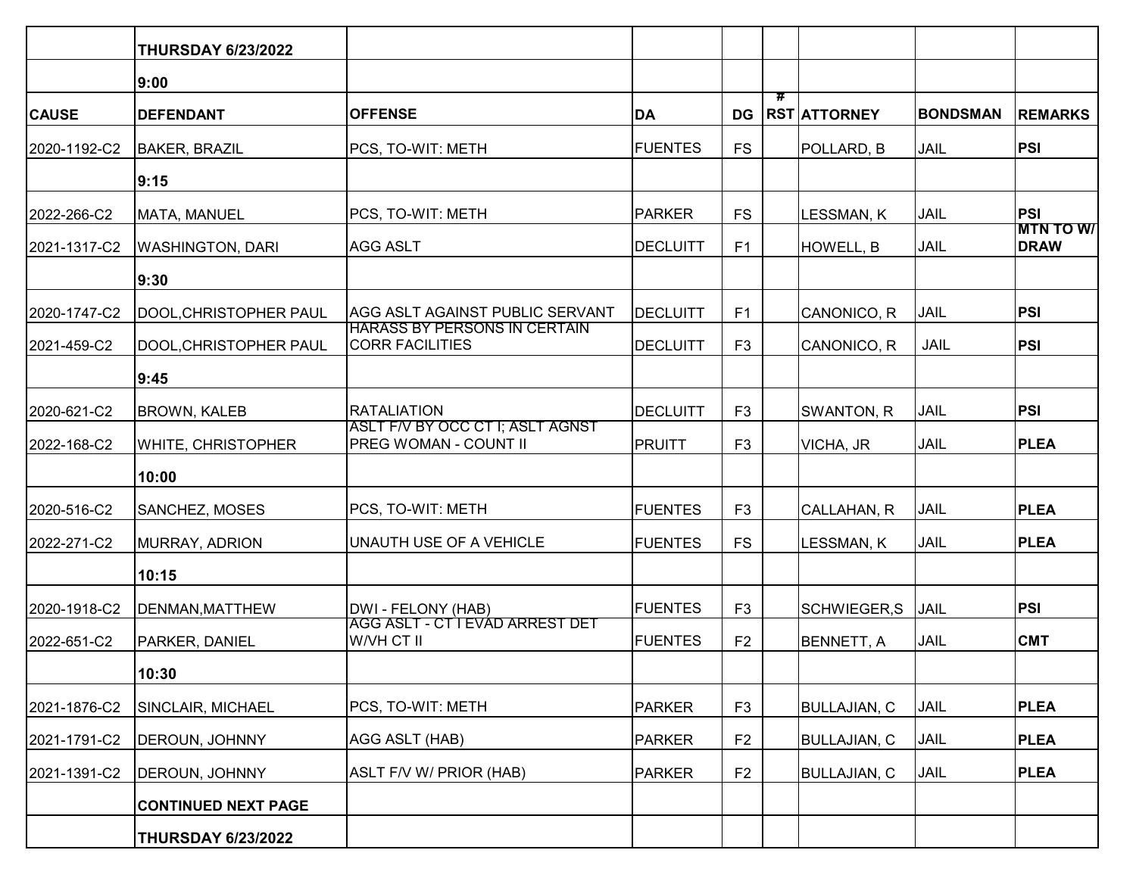|              | <b>THURSDAY 6/23/2022</b>  |                                                               |                |                |                             |                     |                 |                                 |
|--------------|----------------------------|---------------------------------------------------------------|----------------|----------------|-----------------------------|---------------------|-----------------|---------------------------------|
|              | 9:00                       |                                                               |                |                |                             |                     |                 |                                 |
| <b>CAUSE</b> | <b>DEFENDANT</b>           | <b>OFFENSE</b>                                                | <b>DA</b>      | <b>DG</b>      | $\overline{\boldsymbol{r}}$ | <b>RST ATTORNEY</b> | <b>BONDSMAN</b> | <b>REMARKS</b>                  |
| 2020-1192-C2 | <b>BAKER, BRAZIL</b>       | PCS, TO-WIT: METH                                             | <b>FUENTES</b> | <b>FS</b>      |                             | POLLARD, B          | <b>JAIL</b>     | PSI                             |
|              | 9:15                       |                                                               |                |                |                             |                     |                 |                                 |
| 2022-266-C2  | MATA, MANUEL               | PCS, TO-WIT: METH                                             | <b>PARKER</b>  | <b>FS</b>      |                             | <b>LESSMAN, K</b>   | <b>JAIL</b>     | PSI                             |
| 2021-1317-C2 | <b>WASHINGTON, DARI</b>    | <b>AGG ASLT</b>                                               | DECLUITT       | F1             |                             | HOWELL, B           | <b>JAIL</b>     | <b>MTN TO W/</b><br><b>DRAW</b> |
|              | 9:30                       |                                                               |                |                |                             |                     |                 |                                 |
| 2020-1747-C2 | DOOL, CHRISTOPHER PAUL     | AGG ASLT AGAINST PUBLIC SERVANT                               | DECLUITT       | F <sub>1</sub> |                             | CANONICO, R         | <b>JAIL</b>     | PSI                             |
| 2021-459-C2  | DOOL, CHRISTOPHER PAUL     | <b>HARASS BY PERSONS IN CERTAIN</b><br><b>CORR FACILITIES</b> | DECLUITT       | F <sub>3</sub> |                             | CANONICO, R         | <b>JAIL</b>     | PSI                             |
|              | 9:45                       |                                                               |                |                |                             |                     |                 |                                 |
| 2020-621-C2  | <b>BROWN, KALEB</b>        | <b>RATALIATION</b>                                            | DECLUITT       | F <sub>3</sub> |                             | SWANTON, R          | JAIL            | PSI                             |
| 2022-168-C2  | WHITE, CHRISTOPHER         | ASLT F/V BY OCC CT I; ASLT AGNST<br>PREG WOMAN - COUNT II     | <b>PRUITT</b>  | F <sub>3</sub> |                             | VICHA, JR           | <b>JAIL</b>     | <b>PLEA</b>                     |
|              | 10:00                      |                                                               |                |                |                             |                     |                 |                                 |
| 2020-516-C2  | SANCHEZ, MOSES             | PCS, TO-WIT: METH                                             | <b>FUENTES</b> | F <sub>3</sub> |                             | CALLAHAN, R         | <b>JAIL</b>     | <b>PLEA</b>                     |
| 2022-271-C2  | MURRAY, ADRION             | <b>UNAUTH USE OF A VEHICLE</b>                                | <b>FUENTES</b> | <b>FS</b>      |                             | <b>LESSMAN, K</b>   | <b>JAIL</b>     | <b>PLEA</b>                     |
|              | 10:15                      |                                                               |                |                |                             |                     |                 |                                 |
| 2020-1918-C2 | DENMAN, MATTHEW            | DWI - FELONY (HAB)                                            | <b>FUENTES</b> | F <sub>3</sub> |                             | SCHWIEGER,S         | <b>JAIL</b>     | PSI                             |
| 2022-651-C2  | PARKER, DANIEL             | AGG ASLT - CT I EVAD ARREST DET<br>W/VH CT II                 | <b>FUENTES</b> | F <sub>2</sub> |                             | BENNETT, A          | <b>JAIL</b>     | <b>CMT</b>                      |
|              | 10:30                      |                                                               |                |                |                             |                     |                 |                                 |
| 2021-1876-C2 | SINCLAIR, MICHAEL          | PCS, TO-WIT: METH                                             | <b>PARKER</b>  | F <sub>3</sub> |                             | <b>BULLAJIAN, C</b> | JAIL            | <b>PLEA</b>                     |
| 2021-1791-C2 | DEROUN, JOHNNY             | AGG ASLT (HAB)                                                | <b>PARKER</b>  | F <sub>2</sub> |                             | <b>BULLAJIAN, C</b> | JAIL            | <b>PLEA</b>                     |
| 2021-1391-C2 | DEROUN, JOHNNY             | <b>ASLT F/V W/ PRIOR (HAB)</b>                                | <b>PARKER</b>  | F <sub>2</sub> |                             | <b>BULLAJIAN, C</b> | JAIL            | <b>PLEA</b>                     |
|              | <b>CONTINUED NEXT PAGE</b> |                                                               |                |                |                             |                     |                 |                                 |
|              | <b>THURSDAY 6/23/2022</b>  |                                                               |                |                |                             |                     |                 |                                 |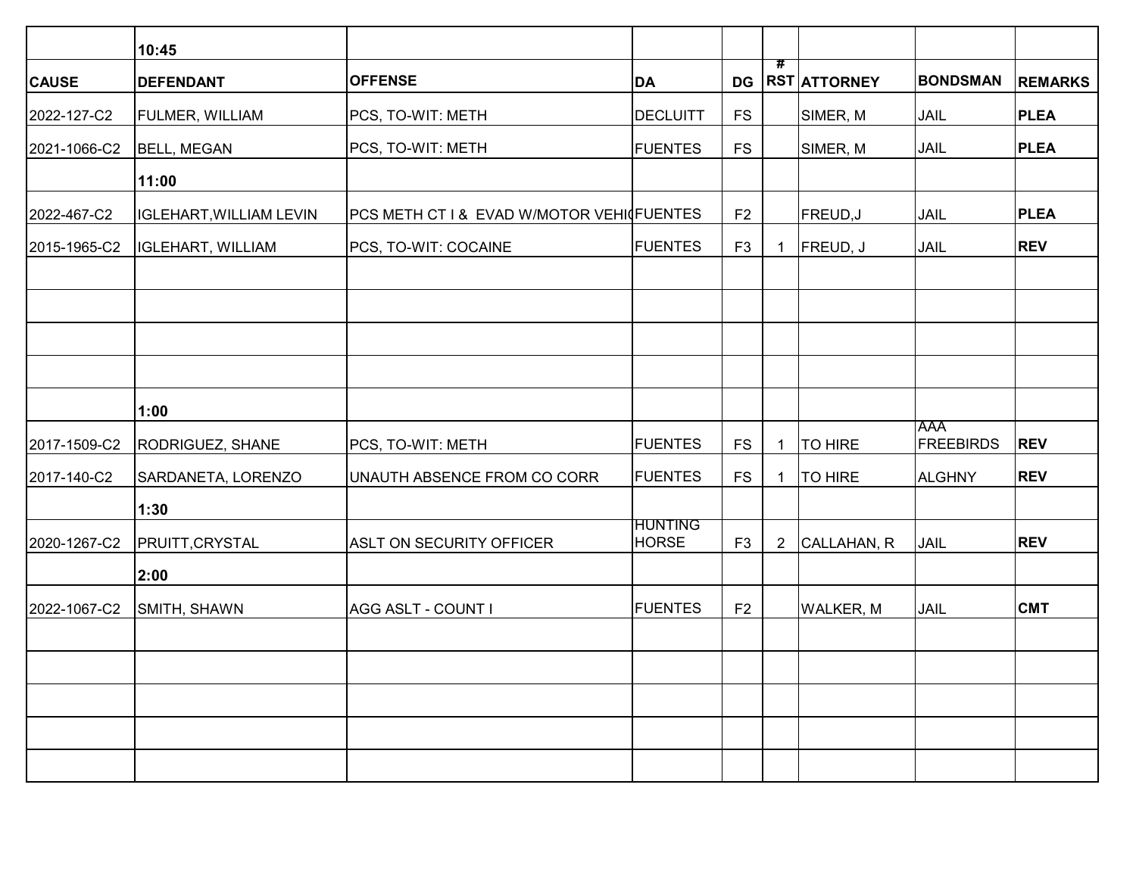|              | 10:45                          |                                           |                                |                |                             |                     |                                |                |
|--------------|--------------------------------|-------------------------------------------|--------------------------------|----------------|-----------------------------|---------------------|--------------------------------|----------------|
| <b>CAUSE</b> | <b>DEFENDANT</b>               | <b>OFFENSE</b>                            | DA                             | <b>DG</b>      | $\overline{\boldsymbol{r}}$ | <b>RST ATTORNEY</b> | <b>BONDSMAN</b>                | <b>REMARKS</b> |
| 2022-127-C2  | FULMER, WILLIAM                | PCS, TO-WIT: METH                         | DECLUITT                       | <b>FS</b>      |                             | SIMER, M            | JAIL                           | <b>PLEA</b>    |
| 2021-1066-C2 | <b>BELL, MEGAN</b>             | PCS, TO-WIT: METH                         | <b>FUENTES</b>                 | <b>FS</b>      |                             | SIMER, M            | JAIL                           | <b>PLEA</b>    |
|              | 11:00                          |                                           |                                |                |                             |                     |                                |                |
| 2022-467-C2  | <b>IGLEHART, WILLIAM LEVIN</b> | PCS METH CT I & EVAD W/MOTOR VEHI FUENTES |                                | F <sub>2</sub> |                             | FREUD, J            | JAIL                           | <b>PLEA</b>    |
| 2015-1965-C2 | <b>IGLEHART, WILLIAM</b>       | PCS, TO-WIT: COCAINE                      | <b>FUENTES</b>                 | F <sub>3</sub> | $\mathbf 1$                 | FREUD, J            | JAIL                           | <b>REV</b>     |
|              |                                |                                           |                                |                |                             |                     |                                |                |
|              |                                |                                           |                                |                |                             |                     |                                |                |
|              | 1:00                           |                                           |                                |                |                             |                     |                                |                |
| 2017-1509-C2 | RODRIGUEZ, SHANE               | PCS, TO-WIT: METH                         | <b>FUENTES</b>                 | <b>FS</b>      | $\mathbf{1}$                | <b>TO HIRE</b>      | <b>AAA</b><br><b>FREEBIRDS</b> | <b>REV</b>     |
| 2017-140-C2  | SARDANETA, LORENZO             | UNAUTH ABSENCE FROM CO CORR               | <b>FUENTES</b>                 | <b>FS</b>      | $\overline{1}$              | <b>TO HIRE</b>      | <b>ALGHNY</b>                  | <b>REV</b>     |
|              | 1:30                           |                                           |                                |                |                             |                     |                                |                |
| 2020-1267-C2 | PRUITT, CRYSTAL                | ASLT ON SECURITY OFFICER                  | <b>HUNTING</b><br><b>HORSE</b> | F <sub>3</sub> | $\overline{2}$              | CALLAHAN, R         | JAIL                           | <b>REV</b>     |
|              | 2:00                           |                                           |                                |                |                             |                     |                                |                |
| 2022-1067-C2 | SMITH, SHAWN                   | AGG ASLT - COUNT I                        | <b>FUENTES</b>                 | F <sub>2</sub> |                             | <b>WALKER, M</b>    | JAIL                           | <b>CMT</b>     |
|              |                                |                                           |                                |                |                             |                     |                                |                |
|              |                                |                                           |                                |                |                             |                     |                                |                |
|              |                                |                                           |                                |                |                             |                     |                                |                |
|              |                                |                                           |                                |                |                             |                     |                                |                |
|              |                                |                                           |                                |                |                             |                     |                                |                |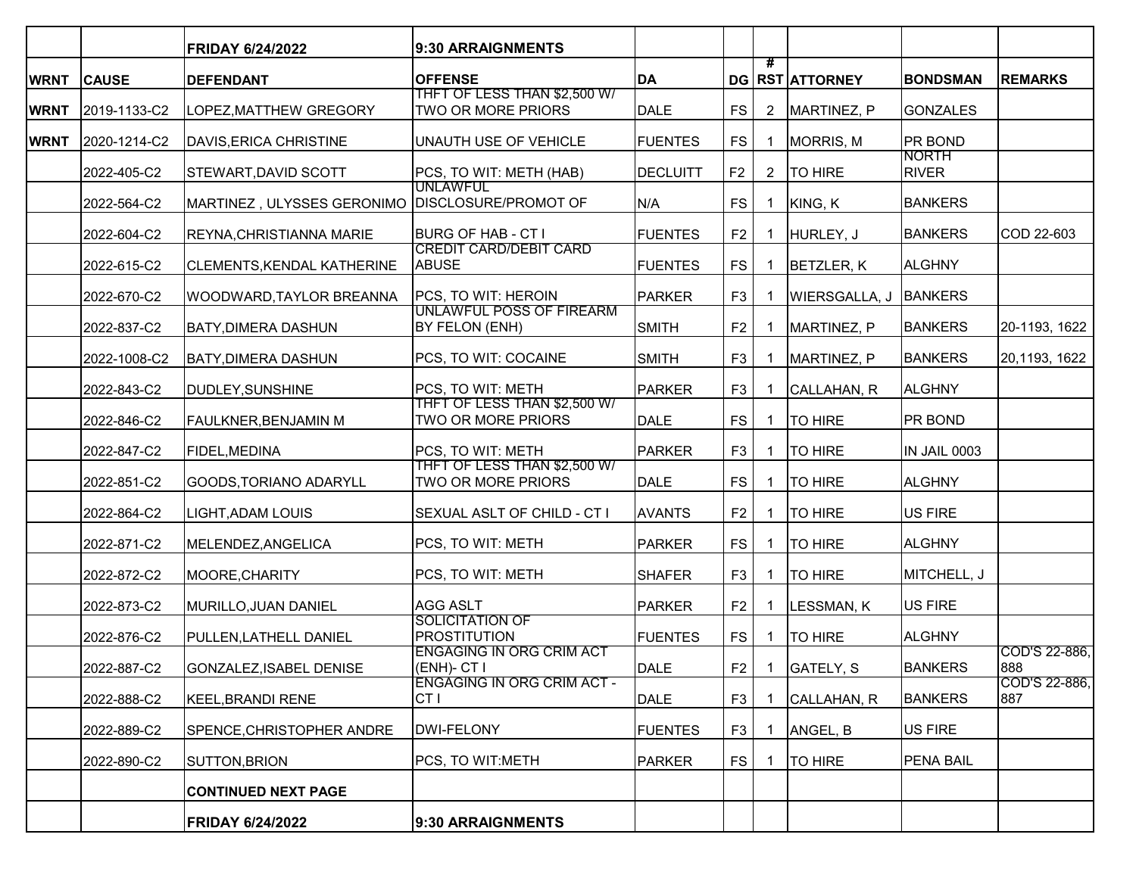|             |              | <b>FRIDAY 6/24/2022</b>    | 9:30 ARRAIGNMENTS                                   |                 |                |                |                       |                              |                      |
|-------------|--------------|----------------------------|-----------------------------------------------------|-----------------|----------------|----------------|-----------------------|------------------------------|----------------------|
| <b>WRNT</b> | <b>CAUSE</b> | <b>DEFENDANT</b>           | <b>OFFENSE</b>                                      | <b>DA</b>       |                | #              | DG RST ATTORNEY       | <b>BONDSMAN</b>              | <b>REMARKS</b>       |
| <b>WRNT</b> | 2019-1133-C2 | LOPEZ, MATTHEW GREGORY     | THFT OF LESS THAN \$2,500 W/<br>TWO OR MORE PRIORS  | DALE            | <b>FS</b>      | $\overline{2}$ | MARTINEZ, P           | GONZALES                     |                      |
| <b>WRNT</b> | 2020-1214-C2 | DAVIS, ERICA CHRISTINE     | UNAUTH USE OF VEHICLE                               | <b>FUENTES</b>  | <b>FS</b>      | 1              | <b>MORRIS, M</b>      | <b>PR BOND</b>               |                      |
|             | 2022-405-C2  | STEWART, DAVID SCOTT       | PCS, TO WIT: METH (HAB)<br><b>UNLAWFUL</b>          | <b>DECLUITT</b> | F <sub>2</sub> | 2              | TO HIRE               | <b>NORTH</b><br><b>RIVER</b> |                      |
|             | 2022-564-C2  | MARTINEZ, ULYSSES GERONIMO | <b>DISCLOSURE/PROMOT OF</b>                         | N/A             | <b>FS</b>      | 1              | KING, K               | <b>BANKERS</b>               |                      |
|             | 2022-604-C2  | REYNA, CHRISTIANNA MARIE   | BURG OF HAB - CT I<br><b>CREDIT CARD/DEBIT CARD</b> | <b>FUENTES</b>  | F <sub>2</sub> | $\mathbf{1}$   | HURLEY, J             | <b>BANKERS</b>               | COD 22-603           |
|             | 2022-615-C2  | CLEMENTS, KENDAL KATHERINE | <b>ABUSE</b>                                        | <b>FUENTES</b>  | <b>FS</b>      | $\mathbf{1}$   | BETZLER, K            | <b>ALGHNY</b>                |                      |
|             | 2022-670-C2  | WOODWARD, TAYLOR BREANNA   | PCS, TO WIT: HEROIN                                 | PARKER          | F <sub>3</sub> |                | WIERSGALLA, J BANKERS |                              |                      |
|             | 2022-837-C2  | BATY, DIMERA DASHUN        | <b>UNLAWFUL POSS OF FIREARM</b><br>BY FELON (ENH)   | <b>SMITH</b>    | F <sub>2</sub> | 1              | MARTINEZ, P           | <b>BANKERS</b>               | 20-1193, 1622        |
|             | 2022-1008-C2 | <b>BATY, DIMERA DASHUN</b> | PCS, TO WIT: COCAINE                                | <b>SMITH</b>    | F <sub>3</sub> |                | MARTINEZ, P           | <b>BANKERS</b>               | 20,1193, 1622        |
|             | 2022-843-C2  | DUDLEY, SUNSHINE           | PCS, TO WIT: METH                                   | PARKER          | F <sub>3</sub> | 1              | CALLAHAN, R           | ALGHNY                       |                      |
|             | 2022-846-C2  | FAULKNER, BENJAMIN M       | THFT OF LESS THAN \$2,500 W/<br>TWO OR MORE PRIORS  | <b>DALE</b>     | <b>FS</b>      | 1              | <b>TO HIRE</b>        | <b>PR BOND</b>               |                      |
|             | 2022-847-C2  | FIDEL, MEDINA              | PCS, TO WIT: METH                                   | PARKER          | F <sub>3</sub> | 1              | TO HIRE               | IN JAIL 0003                 |                      |
|             | 2022-851-C2  | GOODS, TORIANO ADARYLL     | THFT OF LESS THAN \$2,500 W/<br>TWO OR MORE PRIORS  | DALE            | <b>FS</b>      | 1              | <b>TO HIRE</b>        | ALGHNY                       |                      |
|             | 2022-864-C2  | LIGHT, ADAM LOUIS          | SEXUAL ASLT OF CHILD - CT I                         | <b>AVANTS</b>   | F <sub>2</sub> | 1              | TO HIRE               | US FIRE                      |                      |
|             | 2022-871-C2  | MELENDEZ, ANGELICA         | PCS, TO WIT: METH                                   | <b>PARKER</b>   | FS             | 1              | <b>TO HIRE</b>        | ALGHNY                       |                      |
|             | 2022-872-C2  | MOORE, CHARITY             | PCS, TO WIT: METH                                   | <b>SHAFER</b>   | F <sub>3</sub> | 1              | <b>TO HIRE</b>        | MITCHELL, J                  |                      |
|             | 2022-873-C2  | MURILLO, JUAN DANIEL       | <b>AGG ASLT</b>                                     | PARKER          | F <sub>2</sub> | 1              | LESSMAN, K            | US FIRE                      |                      |
|             | 2022-876-C2  | PULLEN, LATHELL DANIEL     | SOLICITATION OF<br><b>PROSTITUTION</b>              | <b>FUENTES</b>  | <b>FS</b>      | 1              | TO HIRE               | ALGHNY                       |                      |
|             | 2022-887-C2  | GONZALEZ, ISABEL DENISE    | <b>ENGAGING IN ORG CRIM ACT</b><br>(ENH)- CT I      | DALE            | F2             |                | 1 $ GATELY, S$        | <b>BANKERS</b>               | COD'S 22-886.<br>888 |
|             | 2022-888-C2  | KEEL, BRANDI RENE          | <b>ENGAGING IN ORG CRIM ACT -</b><br>CT I           | <b>DALE</b>     | F <sub>3</sub> | 1              | CALLAHAN, R           | <b>BANKERS</b>               | COD'S 22-886,<br>887 |
|             | 2022-889-C2  | SPENCE, CHRISTOPHER ANDRE  | <b>DWI-FELONY</b>                                   | <b>FUENTES</b>  | F <sub>3</sub> | $\mathbf{1}$   | ANGEL, B              | US FIRE                      |                      |
|             | 2022-890-C2  | SUTTON, BRION              | PCS, TO WIT:METH                                    | <b>PARKER</b>   | FS.            | 1              | <b>TO HIRE</b>        | <b>PENA BAIL</b>             |                      |
|             |              | <b>CONTINUED NEXT PAGE</b> |                                                     |                 |                |                |                       |                              |                      |
|             |              | <b>FRIDAY 6/24/2022</b>    | 9:30 ARRAIGNMENTS                                   |                 |                |                |                       |                              |                      |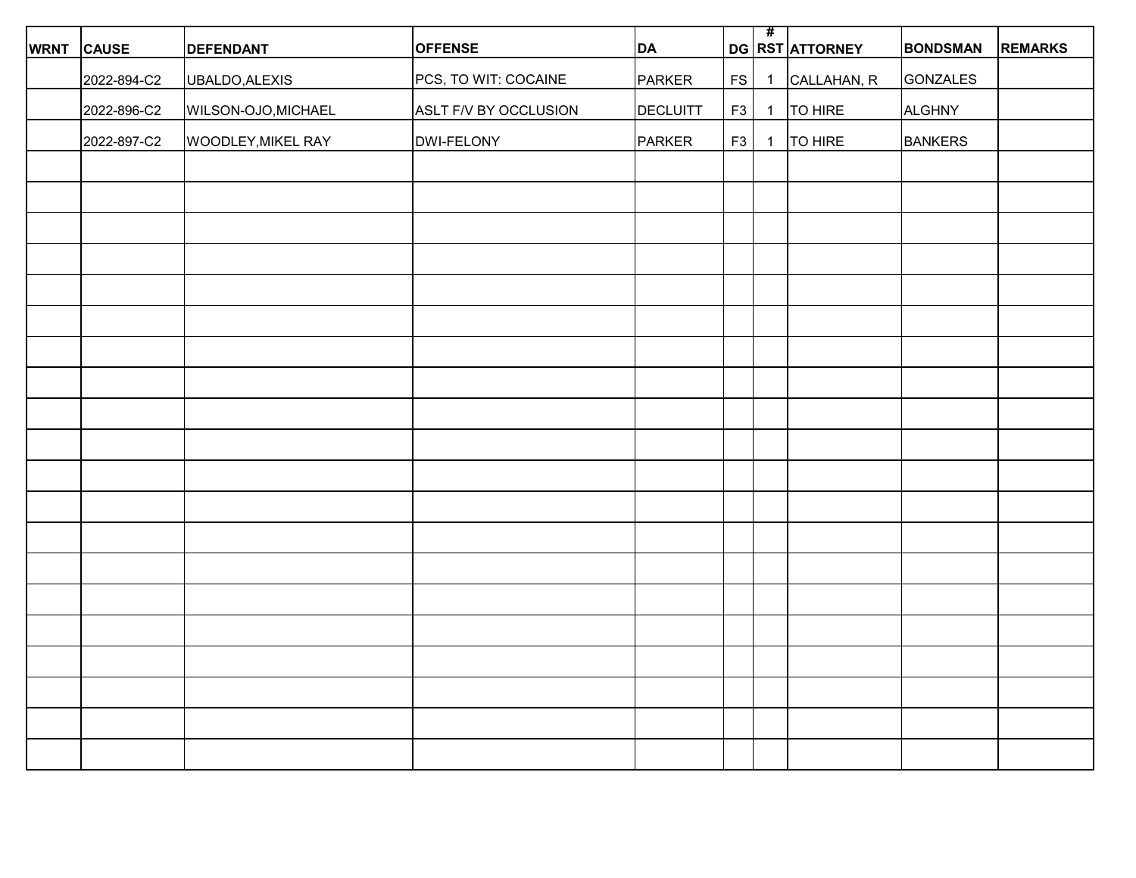| <b>WRNT</b> | <b>CAUSE</b> | <b>DEFENDANT</b>    | <b>OFFENSE</b>        | DA              |           | #              | DG RST ATTORNEY | <b>BONDSMAN</b> | <b>REMARKS</b> |
|-------------|--------------|---------------------|-----------------------|-----------------|-----------|----------------|-----------------|-----------------|----------------|
|             | 2022-894-C2  | UBALDO, ALEXIS      | PCS, TO WIT: COCAINE  | PARKER          | <b>FS</b> | $\overline{1}$ | CALLAHAN, R     | GONZALES        |                |
|             | 2022-896-C2  | WILSON-OJO, MICHAEL | ASLT F/V BY OCCLUSION | <b>DECLUITT</b> | F3        |                | 1   TO HIRE     | ALGHNY          |                |
|             |              |                     |                       |                 |           |                |                 |                 |                |
|             | 2022-897-C2  | WOODLEY, MIKEL RAY  | DWI-FELONY            | PARKER          | F3        | $\overline{1}$ | TO HIRE         | <b>BANKERS</b>  |                |
|             |              |                     |                       |                 |           |                |                 |                 |                |
|             |              |                     |                       |                 |           |                |                 |                 |                |
|             |              |                     |                       |                 |           |                |                 |                 |                |
|             |              |                     |                       |                 |           |                |                 |                 |                |
|             |              |                     |                       |                 |           |                |                 |                 |                |
|             |              |                     |                       |                 |           |                |                 |                 |                |
|             |              |                     |                       |                 |           |                |                 |                 |                |
|             |              |                     |                       |                 |           |                |                 |                 |                |
|             |              |                     |                       |                 |           |                |                 |                 |                |
|             |              |                     |                       |                 |           |                |                 |                 |                |
|             |              |                     |                       |                 |           |                |                 |                 |                |
|             |              |                     |                       |                 |           |                |                 |                 |                |
|             |              |                     |                       |                 |           |                |                 |                 |                |
|             |              |                     |                       |                 |           |                |                 |                 |                |
|             |              |                     |                       |                 |           |                |                 |                 |                |
|             |              |                     |                       |                 |           |                |                 |                 |                |
|             |              |                     |                       |                 |           |                |                 |                 |                |
|             |              |                     |                       |                 |           |                |                 |                 |                |
|             |              |                     |                       |                 |           |                |                 |                 |                |
|             |              |                     |                       |                 |           |                |                 |                 |                |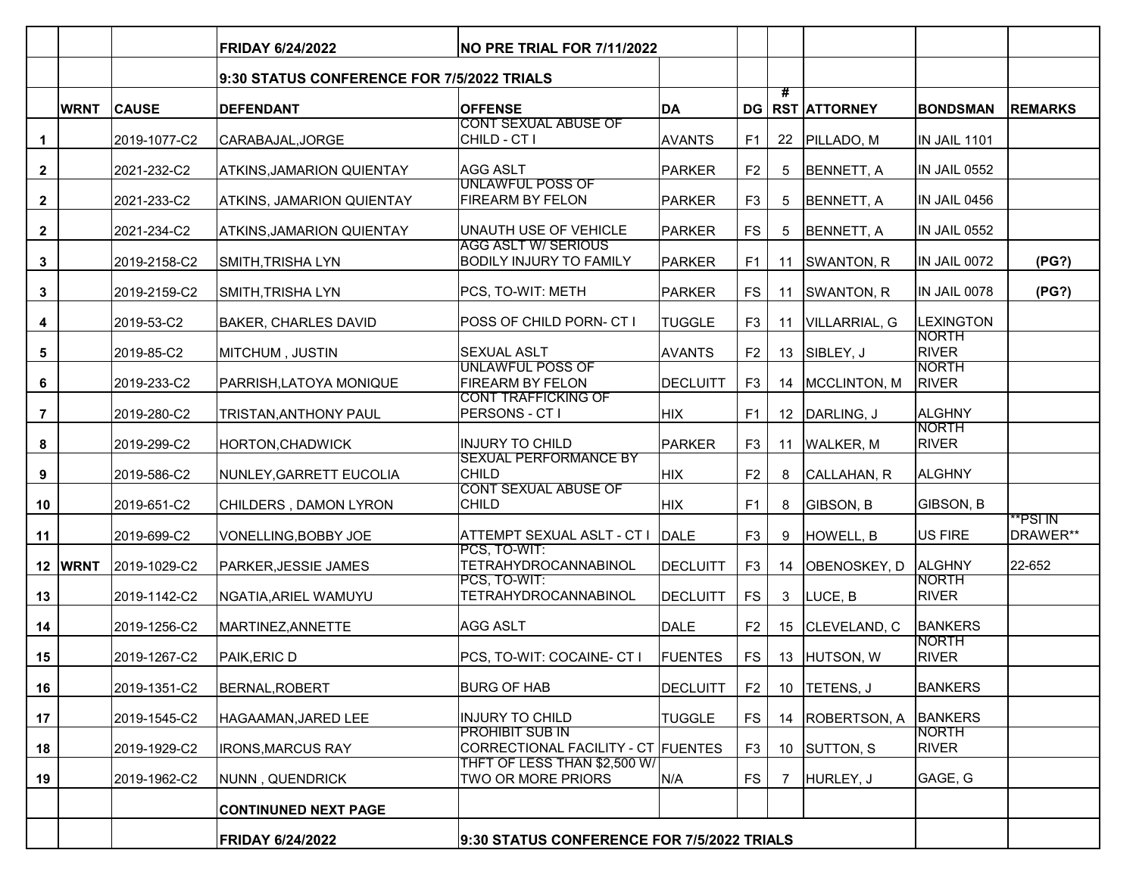|                |             |              | <b>FRIDAY 6/24/2022</b><br>NO PRE TRIAL FOR 7/11/2022 |                                                              |                 |                |    |                        |                              |                      |
|----------------|-------------|--------------|-------------------------------------------------------|--------------------------------------------------------------|-----------------|----------------|----|------------------------|------------------------------|----------------------|
|                |             |              | 9:30 STATUS CONFERENCE FOR 7/5/2022 TRIALS            |                                                              |                 |                |    |                        |                              |                      |
|                | <b>WRNT</b> | <b>CAUSE</b> | <b>DEFENDANT</b>                                      | <b>OFFENSE</b>                                               | DA              |                | #  | <b>DG RST ATTORNEY</b> | <b>BONDSMAN</b>              | <b>REMARKS</b>       |
| $\mathbf 1$    |             | 2019-1077-C2 | CARABAJAL, JORGE                                      | <b>CONT SEXUAL ABUSE OF</b><br>CHILD - CT I                  | <b>AVANTS</b>   | F <sub>1</sub> |    | 22 PILLADO, M          | IN JAIL 1101                 |                      |
| $\mathbf{2}$   |             | 2021-232-C2  | <b>ATKINS, JAMARION QUIENTAY</b>                      | <b>AGG ASLT</b>                                              | PARKER          | F <sub>2</sub> | 5  | BENNETT, A             | <b>IN JAIL 0552</b>          |                      |
| $\mathbf{2}$   |             | 2021-233-C2  | <b>ATKINS, JAMARION QUIENTAY</b>                      | <b>UNLAWFUL POSS OF</b><br><b>FIREARM BY FELON</b>           | PARKER          | F <sub>3</sub> | 5  | BENNETT, A             | IN JAIL 0456                 |                      |
| $\mathbf{2}$   |             | 2021-234-C2  | <b>ATKINS, JAMARION QUIENTAY</b>                      | UNAUTH USE OF VEHICLE                                        | PARKER          | <b>FS</b>      | 5  | <b>BENNETT, A</b>      | IN JAIL 0552                 |                      |
| $\mathbf{3}$   |             | 2019-2158-C2 | SMITH, TRISHA LYN                                     | <b>AGG ASLT W/ SERIOUS</b><br><b>BODILY INJURY TO FAMILY</b> | PARKER          | F <sub>1</sub> |    | 11 SWANTON, R          | IN JAIL 0072                 | (PG?)                |
| $\mathbf{3}$   |             | 2019-2159-C2 | SMITH, TRISHA LYN                                     | PCS, TO-WIT: METH                                            | PARKER          | <b>FS</b>      |    | 11 SWANTON, R          | IN JAIL 0078                 | (PG?)                |
| 4              |             | 2019-53-C2   | BAKER, CHARLES DAVID                                  | POSS OF CHILD PORN- CT I                                     | <b>TUGGLE</b>   | F <sub>3</sub> |    | 11 VILLARRIAL, G       | <b>LEXINGTON</b>             |                      |
| 5              |             | 2019-85-C2   | MITCHUM, JUSTIN                                       | <b>SEXUAL ASLT</b>                                           | <b>AVANTS</b>   | F <sub>2</sub> |    | 13 SIBLEY, J           | NORTH<br><b>RIVER</b>        |                      |
| 6              |             | 2019-233-C2  | PARRISH, LATOYA MONIQUE                               | <b>UNLAWFUL POSS OF</b><br><b>FIREARM BY FELON</b>           | <b>DECLUITT</b> | F <sub>3</sub> |    | 14   MCCLINTON, M      | NORTH<br><b>RIVER</b>        |                      |
| $\overline{7}$ |             | 2019-280-C2  | TRISTAN, ANTHONY PAUL                                 | <b>CONT TRAFFICKING OF</b><br>PERSONS - CT I                 | <b>HIX</b>      | F <sub>1</sub> |    | 12 DARLING, J          | <b>ALGHNY</b>                |                      |
| 8              |             | 2019-299-C2  | HORTON, CHADWICK                                      | <b>INJURY TO CHILD</b>                                       | PARKER          | F <sub>3</sub> |    | 11 WALKER, M           | NORTH<br><b>RIVER</b>        |                      |
| 9              |             | 2019-586-C2  | NUNLEY, GARRETT EUCOLIA                               | <b>SEXUAL PERFORMANCE BY</b><br><b>CHILD</b>                 | <b>HIX</b>      | F <sub>2</sub> | 8  | CALLAHAN, R            | <b>ALGHNY</b>                |                      |
| 10             |             | 2019-651-C2  | CHILDERS, DAMON LYRON                                 | <b>CONT SEXUAL ABUSE OF</b><br><b>CHILD</b>                  | <b>HIX</b>      | F1             | 8  | <b>GIBSON, B</b>       | GIBSON, B                    |                      |
| 11             |             | 2019-699-C2  | VONELLING, BOBBY JOE                                  | ATTEMPT SEXUAL ASLT - CT I                                   | DALE            | F <sub>3</sub> | 9  | HOWELL, B              | US FIRE                      | **PSI IN<br>DRAWER** |
|                | 12 WRNT     | 2019-1029-C2 | PARKER, JESSIE JAMES                                  | PCS, TO-WIT:<br>TETRAHYDROCANNABINOL                         | <b>DECLUITT</b> | F <sub>3</sub> | 14 | OBENOSKEY, D           | <b>ALGHNY</b>                | 22-652               |
| 13             |             | 2019-1142-C2 | NGATIA, ARIEL WAMUYU                                  | PCS, TO-WIT:<br>TETRAHYDROCANNABINOL                         | <b>DECLUITT</b> | <b>FS</b>      | 3  | LUCE, B                | NORTH<br><b>RIVER</b>        |                      |
| 14             |             | 2019-1256-C2 | MARTINEZ, ANNETTE                                     | <b>AGG ASLT</b>                                              | <b>DALE</b>     | F <sub>2</sub> | 15 | CLEVELAND, C           | <b>BANKERS</b>               |                      |
| 15             |             | 2019-1267-C2 | PAIK, ERIC D                                          | PCS, TO-WIT: COCAINE- CT I                                   | <b>FUENTES</b>  | <b>FS</b>      |    | 13 HUTSON, W           | NORTH<br><b>RIVER</b>        |                      |
| 16             |             | 2019-1351-C2 | BERNAL, ROBERT                                        | <b>BURG OF HAB</b>                                           | DECLUITT        | F <sub>2</sub> |    | 10   TETENS, J         | <b>BANKERS</b>               |                      |
| 17             |             | 2019-1545-C2 | HAGAAMAN, JARED LEE                                   | <b>INJURY TO CHILD</b>                                       | <b>TUGGLE</b>   | <b>FS</b>      |    | 14 ROBERTSON, A        | BANKERS                      |                      |
| 18             |             | 2019-1929-C2 | <b>IRONS, MARCUS RAY</b>                              | <b>PROHIBIT SUB IN</b><br>CORRECTIONAL FACILITY - CT FUENTES |                 | F <sub>3</sub> |    | 10 SUTTON, S           | <b>NORTH</b><br><b>RIVER</b> |                      |
| 19             |             | 2019-1962-C2 | NUNN, QUENDRICK                                       | THFT OF LESS THAN \$2,500 W/<br>TWO OR MORE PRIORS           | N/A             | <b>FS</b>      |    | HURLEY, J              | GAGE, G                      |                      |
|                |             |              | <b>CONTINUNED NEXT PAGE</b>                           |                                                              |                 |                |    |                        |                              |                      |
|                |             |              | <b>FRIDAY 6/24/2022</b>                               | 9:30 STATUS CONFERENCE FOR 7/5/2022 TRIALS                   |                 |                |    |                        |                              |                      |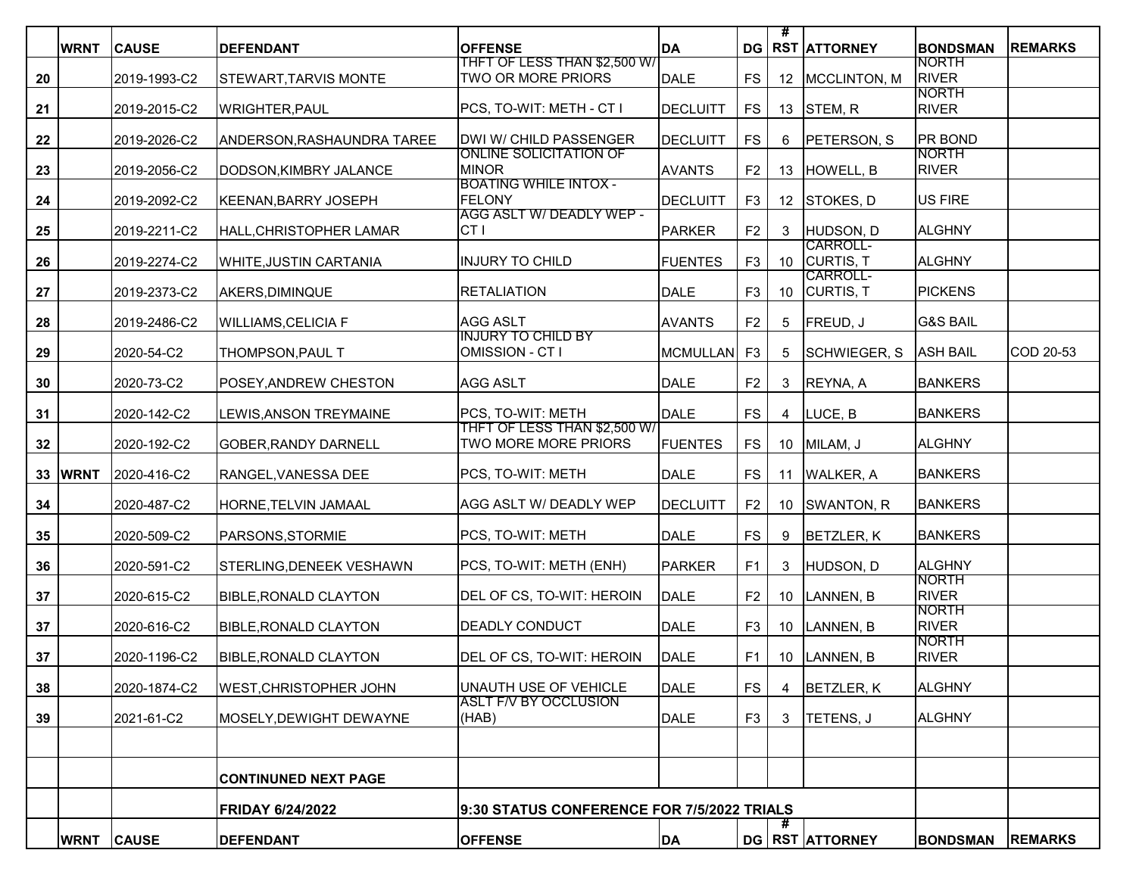|    | <b>WRNT</b> | <b>CAUSE</b>      | <b>DEFENDANT</b>              | <b>OFFENSE</b>                                          | DA              |                | #               | <b>DG RST ATTORNEY</b> | <b>BONDSMAN</b>                | <b>REMARKS</b> |
|----|-------------|-------------------|-------------------------------|---------------------------------------------------------|-----------------|----------------|-----------------|------------------------|--------------------------------|----------------|
| 20 |             | 2019-1993-C2      | STEWART, TARVIS MONTE         | THFT OF LESS THAN \$2,500 W/<br>TWO OR MORE PRIORS      | DALE            | <b>FS</b>      |                 | 12   MCCLINTON, M      | <b>NORTH</b><br><b>RIVER</b>   |                |
|    |             |                   |                               | PCS, TO-WIT: METH - CT I                                |                 | <b>FS</b>      |                 | 13 STEM, R             | <b>NORTH</b><br><b>RIVER</b>   |                |
| 21 |             | 2019-2015-C2      | <b>WRIGHTER, PAUL</b>         |                                                         | <b>DECLUITT</b> |                |                 |                        |                                |                |
| 22 |             | 2019-2026-C2      | ANDERSON,RASHAUNDRA TAREE     | DWI W/ CHILD PASSENGER<br><b>ONLINE SOLICITATION OF</b> | DECLUITT        | <b>FS</b>      | 6               | PETERSON, S            | <b>PR BOND</b><br><b>NORTH</b> |                |
| 23 |             | 2019-2056-C2      | DODSON, KIMBRY JALANCE        | <b>MINOR</b>                                            | <b>AVANTS</b>   | F <sub>2</sub> | 13              | HOWELL, B              | <b>RIVER</b>                   |                |
| 24 |             | 2019-2092-C2      | KEENAN, BARRY JOSEPH          | <b>BOATING WHILE INTOX -</b><br><b>FELONY</b>           | DECLUITT        | F <sub>3</sub> | 12 <sup>2</sup> | STOKES, D              | <b>US FIRE</b>                 |                |
| 25 |             | 2019-2211-C2      | HALL, CHRISTOPHER LAMAR       | AGG ASLT W/ DEADLY WEP -<br>CT <sub>I</sub>             | PARKER          | F <sub>2</sub> | 3               | HUDSON, D              | <b>ALGHNY</b>                  |                |
|    |             |                   |                               |                                                         |                 |                |                 | CARROLL-               |                                |                |
| 26 |             | 2019-2274-C2      | <b>WHITE, JUSTIN CARTANIA</b> | <b>INJURY TO CHILD</b>                                  | <b>FUENTES</b>  | F <sub>3</sub> | 10              | CURTIS, T<br>CARROLL-  | <b>ALGHNY</b>                  |                |
| 27 |             | 2019-2373-C2      | AKERS,DIMINQUE                | <b>RETALIATION</b>                                      | <b>DALE</b>     | F <sub>3</sub> | 10              | CURTIS, T              | <b>PICKENS</b>                 |                |
| 28 |             | 2019-2486-C2      | <b>WILLIAMS, CELICIA F</b>    | AGG ASLT                                                | <b>AVANTS</b>   | F <sub>2</sub> | 5               | FREUD, J               | <b>G&amp;S BAIL</b>            |                |
| 29 |             | 2020-54-C2        | THOMPSON, PAUL T              | <b>INJURY TO CHILD BY</b><br>OMISSION - CT I            | MCMULLAN F3     |                | 5               | SCHWIEGER, S           | <b>ASH BAIL</b>                | COD 20-53      |
|    |             |                   |                               |                                                         |                 |                |                 |                        |                                |                |
| 30 |             | 2020-73-C2        | POSEY,ANDREW CHESTON          | AGG ASLT                                                | DALE            | F <sub>2</sub> | 3               | REYNA, A               | <b>BANKERS</b>                 |                |
| 31 |             | 2020-142-C2       | LEWIS, ANSON TREYMAINE        | PCS, TO-WIT: METH<br>THFT OF LESS THAN \$2,500 W/       | DALE            | <b>FS</b>      | 4               | LUCE, B                | <b>BANKERS</b>                 |                |
| 32 |             | 2020-192-C2       | GOBER, RANDY DARNELL          | <b>TWO MORE MORE PRIORS</b>                             | <b>FUENTES</b>  | <b>FS</b>      |                 | 10 MILAM, J            | <b>ALGHNY</b>                  |                |
|    | 33 WRNT     | 2020-416-C2       | RANGEL, VANESSA DEE           | PCS, TO-WIT: METH                                       | DALE            | <b>FS</b>      | 11              | <b>WALKER, A</b>       | <b>BANKERS</b>                 |                |
| 34 |             | 2020-487-C2       | HORNE,TELVIN JAMAAL           | AGG ASLT W/ DEADLY WEP                                  | <b>DECLUITT</b> | F <sub>2</sub> | 10 <sup>1</sup> | SWANTON, R             | <b>BANKERS</b>                 |                |
| 35 |             | 2020-509-C2       | PARSONS, STORMIE              | PCS, TO-WIT: METH                                       | DALE            | <b>FS</b>      | 9               | <b>BETZLER, K</b>      | <b>BANKERS</b>                 |                |
| 36 |             | 2020-591-C2       | STERLING, DENEEK VESHAWN      | PCS, TO-WIT: METH (ENH)                                 | <b>PARKER</b>   | F1             | 3               | HUDSON, D              | <b>ALGHNY</b>                  |                |
| 37 |             | 2020-615-C2       | <b>BIBLE, RONALD CLAYTON</b>  | DEL OF CS, TO-WIT: HEROIN                               | DALE            | F <sub>2</sub> | 10 <sup>1</sup> | LANNEN, B              | <b>NORTH</b><br><b>RIVER</b>   |                |
| 37 |             | 2020-616-C2       | <b>BIBLE, RONALD CLAYTON</b>  | <b>DEADLY CONDUCT</b>                                   | DALE            | F <sub>3</sub> | 10 <sup>°</sup> | LANNEN, B              | <b>NORTH</b><br><b>RIVER</b>   |                |
| 37 |             | 2020-1196-C2      | BIBLE, RONALD CLAYTON         | DEL OF CS, TO-WIT: HEROIN                               | DALE            | F <sub>1</sub> |                 | 10  LANNEN, B          | <b>NORTH</b><br><b>RIVER</b>   |                |
|    |             |                   |                               |                                                         |                 |                |                 |                        |                                |                |
| 38 |             | 2020-1874-C2      | <b>WEST, CHRISTOPHER JOHN</b> | UNAUTH USE OF VEHICLE<br><b>ASLT F/V BY OCCLUSION</b>   | DALE            | <b>FS</b>      | 4               | <b>BETZLER, K</b>      | <b>ALGHNY</b>                  |                |
| 39 |             | 2021-61-C2        | MOSELY, DEWIGHT DEWAYNE       | (HAB)                                                   | DALE            | F <sub>3</sub> | 3               | TETENS, J              | <b>ALGHNY</b>                  |                |
|    |             |                   |                               |                                                         |                 |                |                 |                        |                                |                |
|    |             |                   | <b>CONTINUNED NEXT PAGE</b>   |                                                         |                 |                |                 |                        |                                |                |
|    |             |                   | <b>FRIDAY 6/24/2022</b>       | 9:30 STATUS CONFERENCE FOR 7/5/2022 TRIALS              |                 |                |                 |                        |                                |                |
|    |             | <b>WRNT CAUSE</b> | <b>DEFENDANT</b>              | <b>OFFENSE</b>                                          | DA              |                |                 | <b>DG RST ATTORNEY</b> | <b>BONDSMAN</b>                | <b>REMARKS</b> |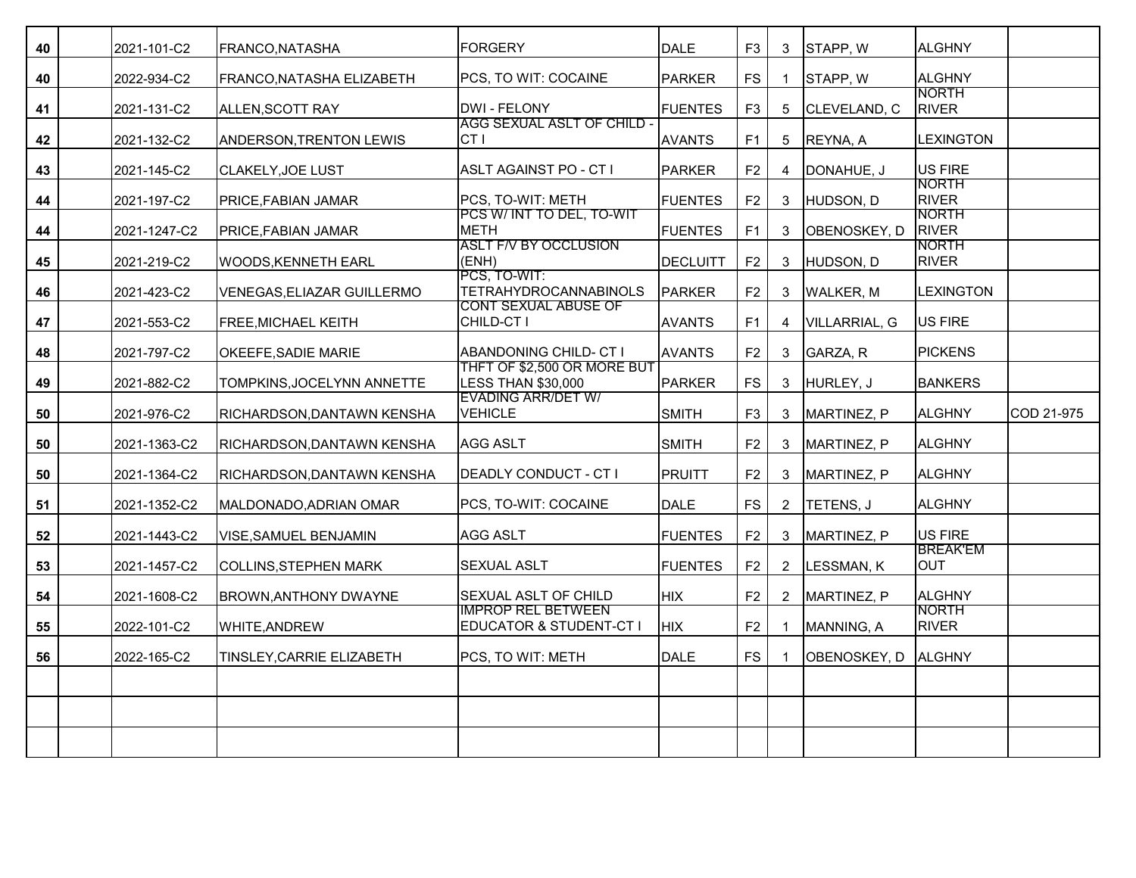| 40 | 2021-101-C2  | FRANCO, NATASHA                   | <b>IFORGERY</b>                                      | DALE           | F <sub>3</sub> | 3              | STAPP, W      | <b>ALGHNY</b>                 |            |
|----|--------------|-----------------------------------|------------------------------------------------------|----------------|----------------|----------------|---------------|-------------------------------|------------|
| 40 | 2022-934-C2  | FRANCO, NATASHA ELIZABETH         | PCS, TO WIT: COCAINE                                 | PARKER         | <b>FS</b>      | 1              | STAPP, W      | <b>ALGHNY</b>                 |            |
| 41 | 2021-131-C2  | ALLEN, SCOTT RAY                  | DWI - FELONY                                         | <b>FUENTES</b> | F <sub>3</sub> | 5              | CLEVELAND, C  | <b>NORTH</b><br><b>RIVER</b>  |            |
| 42 | 2021-132-C2  | ANDERSON, TRENTON LEWIS           | AGG SEXUAL ASLT OF CHILD -<br>CT <sub>1</sub>        | <b>AVANTS</b>  | F <sub>1</sub> | 5              | REYNA, A      | <b>LEXINGTON</b>              |            |
| 43 | 2021-145-C2  | CLAKELY, JOE LUST                 | ASLT AGAINST PO - CT I                               | PARKER         | F <sub>2</sub> | 4              | DONAHUE, J    | US FIRE                       |            |
| 44 | 2021-197-C2  | <b>PRICE, FABIAN JAMAR</b>        | PCS. TO-WIT: METH                                    | <b>FUENTES</b> | F <sub>2</sub> | 3              | HUDSON, D     | <b>NORTH</b><br><b>RIVER</b>  |            |
| 44 | 2021-1247-C2 | <b>PRICE, FABIAN JAMAR</b>        | PCS W/ INT TO DEL, TO-WIT<br><b>METH</b>             | <b>FUENTES</b> | F1             | 3              | OBENOSKEY, D  | <b>NORTH</b><br><b>RIVER</b>  |            |
| 45 | 2021-219-C2  | <b>WOODS, KENNETH EARL</b>        | <b>ASLT F/V BY OCCLUSION</b><br>(ENH)                | DECLUITT       | F <sub>2</sub> | 3              | HUDSON, D     | <b>NORTH</b><br><b>RIVER</b>  |            |
| 46 | 2021-423-C2  | <b>VENEGAS, ELIAZAR GUILLERMO</b> | PCS, TO-WIT:<br><b>TETRAHYDROCANNABINOLS</b>         | PARKER         | F <sub>2</sub> | 3              | WALKER, M     | <b>LEXINGTON</b>              |            |
| 47 | 2021-553-C2  | <b>FREE, MICHAEL KEITH</b>        | <b>CONT SEXUAL ABUSE OF</b><br>CHILD-CT I            | <b>AVANTS</b>  | F1             | 4              | VILLARRIAL, G | <b>US FIRE</b>                |            |
| 48 | 2021-797-C2  | OKEEFE, SADIE MARIE               | ABANDONING CHILD- CT I                               | <b>AVANTS</b>  | F <sub>2</sub> | 3              | GARZA, R      | <b>PICKENS</b>                |            |
| 49 | 2021-882-C2  | TOMPKINS, JOCELYNN ANNETTE        | THFT OF \$2,500 OR MORE BUT<br>LESS THAN \$30.000    | PARKER         | <b>FS</b>      | 3              | HURLEY, J     | <b>BANKERS</b>                |            |
| 50 | 2021-976-C2  | RICHARDSON,DANTAWN KENSHA         | <b>EVADING ARR/DET W/</b><br><b>VEHICLE</b>          | <b>SMITH</b>   | F <sub>3</sub> | 3              | MARTINEZ, P   | <b>ALGHNY</b>                 | COD 21-975 |
| 50 | 2021-1363-C2 | RICHARDSON, DANTAWN KENSHA        | <b>AGG ASLT</b>                                      | SMITH          | F2             | 3              | MARTINEZ, P   | <b>ALGHNY</b>                 |            |
| 50 | 2021-1364-C2 | RICHARDSON,DANTAWN KENSHA         | <b>DEADLY CONDUCT - CT I</b>                         | <b>PRUITT</b>  | F <sub>2</sub> | 3              | MARTINEZ, P   | <b>ALGHNY</b>                 |            |
| 51 | 2021-1352-C2 | MALDONADO, ADRIAN OMAR            | PCS, TO-WIT: COCAINE                                 | DALE           | <b>FS</b>      | $\mathbf{2}$   | TETENS, J     | <b>ALGHNY</b>                 |            |
| 52 | 2021-1443-C2 | <b>VISE, SAMUEL BENJAMIN</b>      | AGG ASLT                                             | <b>FUENTES</b> | F <sub>2</sub> | 3              | MARTINEZ. P   | US FIRE                       |            |
| 53 | 2021-1457-C2 | COLLINS, STEPHEN MARK             | <b>SEXUAL ASLT</b>                                   | <b>FUENTES</b> | F2             | $\overline{2}$ | LESSMAN, K    | <b>BREAK'EM</b><br><b>OUT</b> |            |
| 54 | 2021-1608-C2 | <b>BROWN, ANTHONY DWAYNE</b>      | SEXUAL ASLT OF CHILD                                 | HIX)           | F <sub>2</sub> | 2              | MARTINEZ, P   | <b>ALGHNY</b>                 |            |
| 55 | 2022-101-C2  | WHITE, ANDREW                     | <b>IMPROP REL BETWEEN</b><br>EDUCATOR & STUDENT-CT I | <b>HIX</b>     | F2             |                | MANNING, A    | <b>NORTH</b><br><b>RIVER</b>  |            |
| 56 | 2022-165-C2  | TINSLEY.CARRIE ELIZABETH          | PCS. TO WIT: METH                                    | DALE           | <b>FS</b>      |                | OBENOSKEY, D  | <b>ALGHNY</b>                 |            |
|    |              |                                   |                                                      |                |                |                |               |                               |            |
|    |              |                                   |                                                      |                |                |                |               |                               |            |
|    |              |                                   |                                                      |                |                |                |               |                               |            |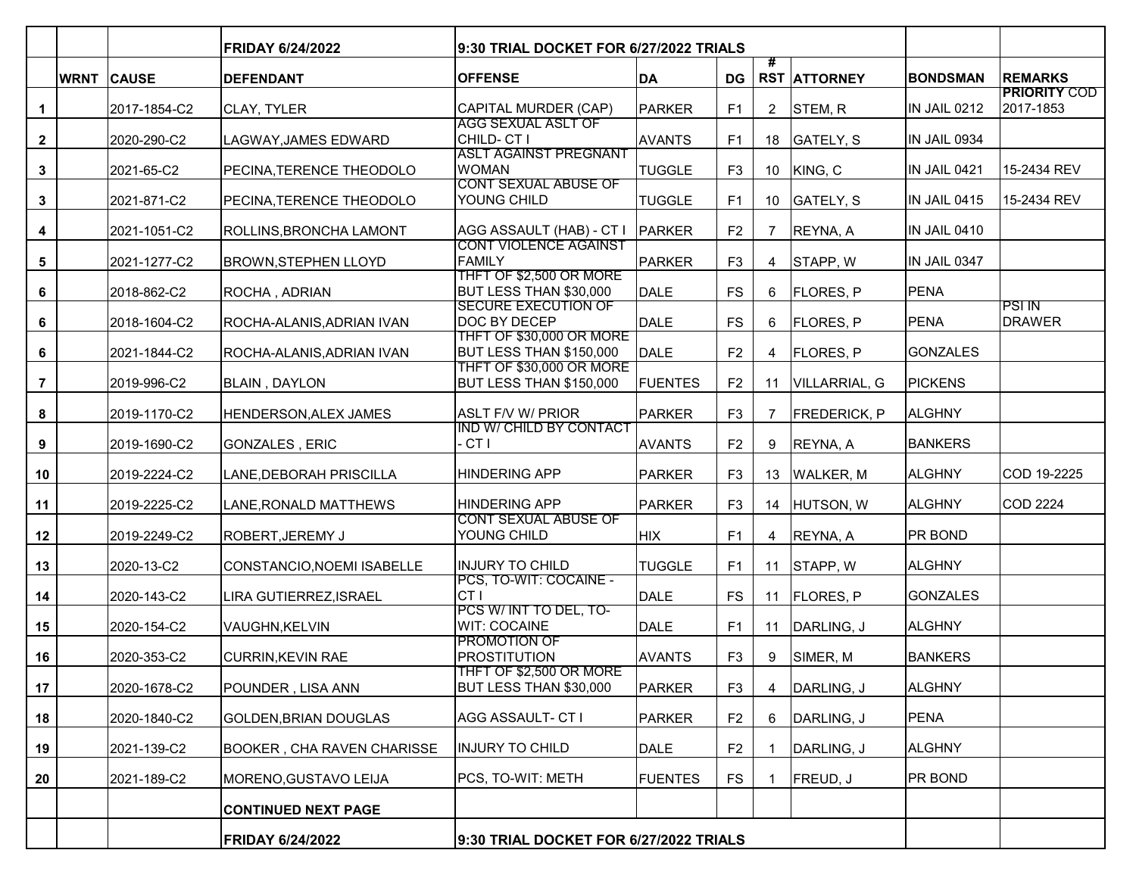|                 |                   | <b>FRIDAY 6/24/2022</b>           | 9:30 TRIAL DOCKET FOR 6/27/2022 TRIALS                     |                |                |                |                     |                 |                                  |
|-----------------|-------------------|-----------------------------------|------------------------------------------------------------|----------------|----------------|----------------|---------------------|-----------------|----------------------------------|
|                 | <b>WRNT CAUSE</b> | <b>DEFENDANT</b>                  | <b>OFFENSE</b>                                             | DA             | <b>DG</b>      | #              | <b>RST ATTORNEY</b> | <b>BONDSMAN</b> | <b>REMARKS</b>                   |
| $\mathbf{1}$    | 2017-1854-C2      | CLAY, TYLER                       | CAPITAL MURDER (CAP)                                       | PARKER         | F1             | $\overline{2}$ | STEM, R             | IN JAIL 0212    | <b>PRIORITY COD</b><br>2017-1853 |
| $\mathbf{2}$    | 2020-290-C2       | LAGWAY, JAMES EDWARD              | <b>AGG SEXUAL ASLT OF</b><br>CHILD-CTI                     | <b>AVANTS</b>  | F1             |                | 18 GATELY, S        | IN JAIL 0934    |                                  |
| $\mathbf{3}$    | 2021-65-C2        | <b>PECINA, TERENCE THEODOLO</b>   | <b>ASLT AGAINST PREGNANT</b><br><b>WOMAN</b>               | <b>TUGGLE</b>  | F <sub>3</sub> |                | 10 KING, C          | IN JAIL 0421    | 15-2434 REV                      |
| $\mathbf{3}$    | 2021-871-C2       | PECINA,TERENCE THEODOLO           | <b>CONT SEXUAL ABUSE OF</b><br>YOUNG CHILD                 | <b>TUGGLE</b>  | F <sub>1</sub> |                | 10 GATELY, S        | IN JAIL 0415    | 15-2434 REV                      |
| 4               | 2021-1051-C2      | ROLLINS, BRONCHA LAMONT           | AGG ASSAULT (HAB) - CT I                                   | <b>PARKER</b>  | F <sub>2</sub> | 7              | <b>REYNA, A</b>     | IN JAIL 0410    |                                  |
| $5\phantom{.0}$ | 2021-1277-C2      | BROWN,STEPHEN LLOYD               | <b>CONT VIOLENCE AGAINST</b><br><b>FAMILY</b>              | PARKER         | F <sub>3</sub> | 4              | STAPP, W            | IN JAIL 0347    |                                  |
| 6               | 2018-862-C2       | <b>ROCHA, ADRIAN</b>              | THFT OF \$2,500 OR MORE<br>BUT LESS THAN \$30,000          | <b>DALE</b>    | <b>FS</b>      | 6              | <b>FLORES, P</b>    | <b>PENA</b>     |                                  |
| 6               | 2018-1604-C2      | ROCHA-ALANIS, ADRIAN IVAN         | <b>SECURE EXECUTION OF</b><br>DOC BY DECEP                 | <b>DALE</b>    | <b>FS</b>      | 6              | <b>FLORES, P</b>    | PENA            | <b>PSI IN</b><br>DRAWER          |
| 6               | 2021-1844-C2      | ROCHA-ALANIS, ADRIAN IVAN         | THFT OF \$30,000 OR MORE<br><b>BUT LESS THAN \$150,000</b> | <b>DALE</b>    | F <sub>2</sub> | 4              | <b>FLORES, P</b>    | <b>GONZALES</b> |                                  |
| $\overline{7}$  | 2019-996-C2       | <b>BLAIN, DAYLON</b>              | THFT OF \$30,000 OR MORE<br>BUT LESS THAN \$150,000        | <b>FUENTES</b> | F <sub>2</sub> | 11             | VILLARRIAL, G       | <b>PICKENS</b>  |                                  |
| 8               | 2019-1170-C2      | HENDERSON, ALEX JAMES             | <b>ASLT F/V W/ PRIOR</b>                                   | PARKER         | F <sub>3</sub> | 7              | <b>FREDERICK, P</b> | <b>ALGHNY</b>   |                                  |
| 9               | 2019-1690-C2      | GONZALES , ERIC                   | <b>IND W/ CHILD BY CONTACT</b><br>- CT I                   | <b>AVANTS</b>  | F <sub>2</sub> | 9              | REYNA, A            | <b>BANKERS</b>  |                                  |
| 10              | 2019-2224-C2      | LANE, DEBORAH PRISCILLA           | <b>HINDERING APP</b>                                       | PARKER         | F <sub>3</sub> |                | 13   WALKER, M      | <b>ALGHNY</b>   | COD 19-2225                      |
| 11              | 2019-2225-C2      | LANE, RONALD MATTHEWS             | <b>HINDERING APP</b>                                       | PARKER         | F <sub>3</sub> |                | 14 HUTSON, W        | <b>ALGHNY</b>   | COD 2224                         |
| 12              | 2019-2249-C2      | <b>ROBERT, JEREMY J</b>           | <b>CONT SEXUAL ABUSE OF</b><br>YOUNG CHILD                 | <b>HIX</b>     | F1             | 4              | REYNA, A            | <b>PR BOND</b>  |                                  |
| 13              | 2020-13-C2        | CONSTANCIO,NOEMI ISABELLE         | IINJURY TO CHILD                                           | <b>TUGGLE</b>  | F1             | 11             | STAPP, W            | <b>ALGHNY</b>   |                                  |
| 14              | 2020-143-C2       | LIRA GUTIERREZ, ISRAEL            | PCS, TO-WIT: COCAINE -<br>CT <sub>I</sub>                  | <b>DALE</b>    | <b>FS</b>      | 11             | <b>FLORES, P</b>    | GONZALES        |                                  |
| 15              | 2020-154-C2       | VAUGHN, KELVIN                    | PCS W/ INT TO DEL, TO-<br><b>WIT: COCAINE</b>              | <b>DALE</b>    | F1             | 11             | DARLING, J          | <b>ALGHNY</b>   |                                  |
| 16              | 2020-353-C2       | <b>CURRIN, KEVIN RAE</b>          | <b>PROMOTION OF</b><br><b>PROSTITUTION</b>                 | <b>AVANTS</b>  | F <sub>3</sub> | 9              | SIMER, M            | <b>BANKERS</b>  |                                  |
| 17              | 2020-1678-C2      | POUNDER, LISA ANN                 | THFT OF \$2,500 OR MORE<br>BUT LESS THAN \$30,000          | PARKER         | F <sub>3</sub> | 4              | DARLING, J          | <b>ALGHNY</b>   |                                  |
| 18              | 2020-1840-C2      | GOLDEN, BRIAN DOUGLAS             | AGG ASSAULT- CT I                                          | <b>PARKER</b>  | F <sub>2</sub> | 6              | DARLING, J          | PENA            |                                  |
| 19              | 2021-139-C2       | <b>BOOKER, CHA RAVEN CHARISSE</b> | <b>INJURY TO CHILD</b>                                     | <b>DALE</b>    | F <sub>2</sub> |                | DARLING, J          | <b>ALGHNY</b>   |                                  |
| 20              | 2021-189-C2       | MORENO, GUSTAVO LEIJA             | PCS, TO-WIT: METH                                          | <b>FUENTES</b> | FS             | -1             | FREUD, J            | <b>PR BOND</b>  |                                  |
|                 |                   | <b>CONTINUED NEXT PAGE</b>        |                                                            |                |                |                |                     |                 |                                  |
|                 |                   | <b>FRIDAY 6/24/2022</b>           | 9:30 TRIAL DOCKET FOR 6/27/2022 TRIALS                     |                |                |                |                     |                 |                                  |